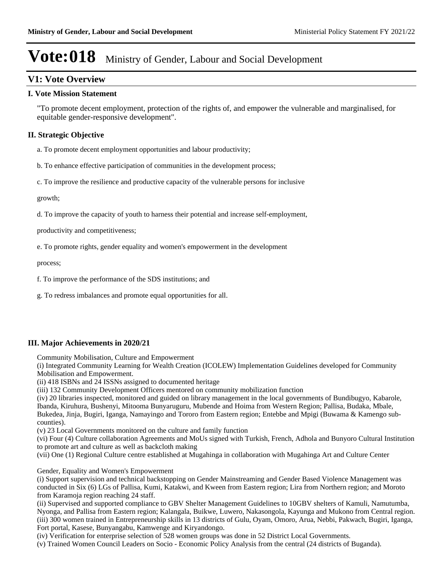### **V1: Vote Overview**

#### **I. Vote Mission Statement**

"To promote decent employment, protection of the rights of, and empower the vulnerable and marginalised, for equitable gender-responsive development".

### **II. Strategic Objective**

a. To promote decent employment opportunities and labour productivity;

b. To enhance effective participation of communities in the development process;

c. To improve the resilience and productive capacity of the vulnerable persons for inclusive

growth;

d. To improve the capacity of youth to harness their potential and increase self-employment,

productivity and competitiveness;

e. To promote rights, gender equality and women's empowerment in the development

process;

f. To improve the performance of the SDS institutions; and

g. To redress imbalances and promote equal opportunities for all.

### **III. Major Achievements in 2020/21**

Community Mobilisation, Culture and Empowerment

(i) Integrated Community Learning for Wealth Creation (ICOLEW) Implementation Guidelines developed for Community Mobilisation and Empowerment.

(ii) 418 ISBNs and 24 ISSNs assigned to documented heritage

(iii) 132 Community Development Officers mentored on community mobilization function

(iv) 20 libraries inspected, monitored and guided on library management in the local governments of Bundibugyo, Kabarole, Ibanda, Kiruhura, Bushenyi, Mitooma Bunyaruguru, Mubende and Hoima from Western Region; Pallisa, Budaka, Mbale, Bukedea, Jinja, Bugiri, Iganga, Namayingo and Tororo from Eastern region; Entebbe and Mpigi (Buwama & Kamengo subcounties).

(v) 23 Local Governments monitored on the culture and family function

(vi) Four (4) Culture collaboration Agreements and MoUs signed with Turkish, French, Adhola and Bunyoro Cultural Institution to promote art and culture as well as backcloth making

(vii) One (1) Regional Culture centre established at Mugahinga in collaboration with Mugahinga Art and Culture Center

Gender, Equality and Women's Empowerment

(i) Support supervision and technical backstopping on Gender Mainstreaming and Gender Based Violence Management was conducted in Six (6) LGs of Pallisa, Kumi, Katakwi, and Kween from Eastern region; Lira from Northern region; and Moroto from Karamoja region reaching 24 staff.

(ii) Supervised and supported compliance to GBV Shelter Management Guidelines to 10GBV shelters of Kamuli, Namutumba, Nyonga, and Pallisa from Eastern region; Kalangala, Buikwe, Luwero, Nakasongola, Kayunga and Mukono from Central region. (iii) 300 women trained in Entrepreneurship skills in 13 districts of Gulu, Oyam, Omoro, Arua, Nebbi, Pakwach, Bugiri, Iganga, Fort portal, Kasese, Bunyangabu, Kamwenge and Kiryandongo.

(iv) Verification for enterprise selection of 528 women groups was done in 52 District Local Governments.

(v) Trained Women Council Leaders on Socio - Economic Policy Analysis from the central (24 districts of Buganda).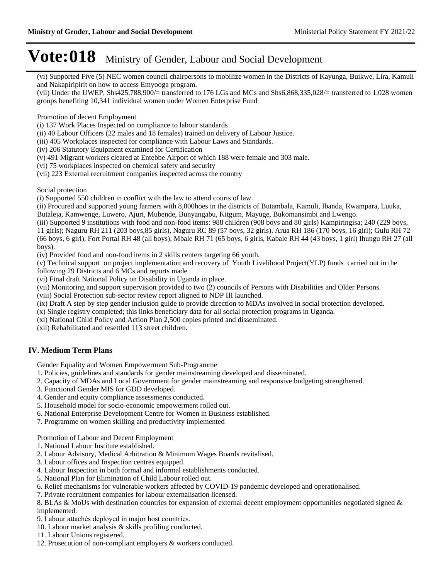(vi) Supported Five (5) NEC women council chairpersons to mobilize women in the Districts of Kayunga, Buikwe, Lira, Kamuli and Nakapiripirit on how to access Emyooga program.

(vii) Under the UWEP, Shs425,788,900/= transferred to 176 LGs and MCs and Shs6,868,335,028/= transferred to 1,028 women groups benefiting 10,341 individual women under Women Enterprise Fund

Promotion of decent Employment

(i) 137 Work Places Inspected on compliance to labour standards

(ii) 40 Labour Officers (22 males and 18 females) trained on delivery of Labour Justice.

(iii) 405 Workplaces inspected for compliance with Labour Laws and Standards.

(iv) 206 Statutory Equipment examined for Certification

(v) 491 Migrant workers cleared at Entebbe Airport of which 188 were female and 303 male.

(vi) 75 workplaces inspected on chemical safety and security

(vii) 223 External recruitment companies inspected across the country

Social protection

(i) Supported 550 children in conflict with the law to attend courts of law.

(ii) Procured and supported young farmers with 8,000hoes in the districts of Butambala, Kamuli, Ibanda, Rwampara, Luuka, Butaleja, Kamwenge, Luwero, Ajuri, Mubende, Bunyangabu, Kitgum, Mayuge, Bukomansimbi and Lwengo.

(iii) Supported 9 institutions with food and non-food items: 988 children (908 boys and 80 girls) Kampiringisa; 240 (229 boys, 11 girls); Naguru RH 211 (203 boys,85 girls), Naguru RC 89 (57 boys, 32 girls). Arua RH 186 (170 boys, 16 girl); Gulu RH 72 (66 boys, 6 girl), Fort Portal RH 48 (all boys), Mbale RH 71 (65 boys, 6 girls, Kabale RH 44 (43 boys, 1 girl) Ihungu RH 27 (all boys).

(iv) Provided food and non-food items in 2 skills centers targeting 66 youth.

(v) Technical support on project implementation and recovery of Youth Livelihood Project(YLP) funds carried out in the following 29 Districts and 6 MCs and reports made

(vi) Final draft National Policy on Disability in Uganda in place.

(vii) Monitoring and support supervision provided to two (2) councils of Persons with Disabilities and Older Persons.

(viii) Social Protection sub-sector review report aligned to NDP III launched.

(ix) Draft A step by step gender inclusion guide to provide direction to MDAs involved in social protection developed.

(x) Single registry completed; this links beneficiary data for all social protection programs in Uganda.

(xi) National Child Policy and Action Plan 2,500 copies printed and disseminated.

(xii) Rehabilitated and resettled 113 street children.

### **IV. Medium Term Plans**

Gender Equality and Women Empowerment Sub-Programme

- 1. Policies, guidelines and standards for gender mainstreaming developed and disseminated.
- 2. Capacity of MDAs and Local Government for gender mainstreaming and responsive budgeting strengthened.
- 3. Functional Gender MIS for GDD developed.
- 4. Gender and equity compliance assessments conducted.
- 5. Household model for socio-economic empowerment rolled out.
- 6. National Enterprise Development Centre for Women in Business established.
- 7. Programme on women skilling and productivity implemented

Promotion of Labour and Decent Employment

- 1. National Labour Institute established.
- 2. Labour Advisory, Medical Arbitration & Minimum Wages Boards revitalised.
- 3. Labour offices and Inspection centres equipped.
- 4. Labour Inspection in both formal and informal establishments conducted.
- 5. National Plan for Elimination of Child Labour rolled out.
- 6. Relief mechanisms for vulnerable workers affected by COVID-19 pandemic developed and operationalised.
- 7. Private recruitment companies for labour externalisation licensed.

8. BLAs & MoUs with destination countries for expansion of external decent employment opportunities negotiated signed &

- implemented.
- 9. Labour attachés deployed in major host countries.
- 10. Labour market analysis & skills profiling conducted.
- 11. Labour Unions registered.
- 12. Prosecution of non-compliant employers & workers conducted.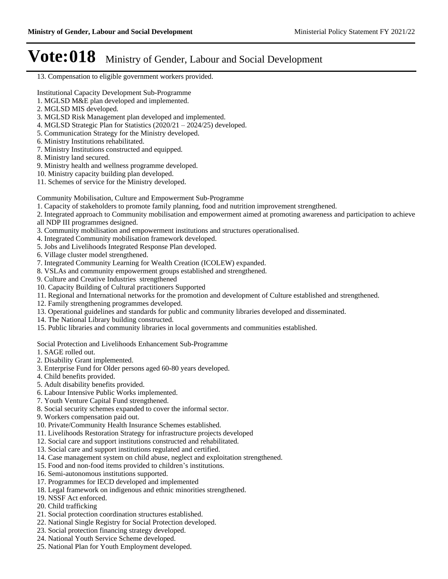#### 13. Compensation to eligible government workers provided.

Institutional Capacity Development Sub-Programme

- 1. MGLSD M&E plan developed and implemented.
- 2. MGLSD MIS developed.
- 3. MGLSD Risk Management plan developed and implemented.
- 4. MGLSD Strategic Plan for Statistics  $(2020/21 2024/25)$  developed.
- 5. Communication Strategy for the Ministry developed.
- 6. Ministry Institutions rehabilitated.
- 7. Ministry Institutions constructed and equipped.
- 8. Ministry land secured.
- 9. Ministry health and wellness programme developed.
- 10. Ministry capacity building plan developed.
- 11. Schemes of service for the Ministry developed.

Community Mobilisation, Culture and Empowerment Sub-Programme

- 1. Capacity of stakeholders to promote family planning, food and nutrition improvement strengthened.
- 2. Integrated approach to Community mobilisation and empowerment aimed at promoting awareness and participation to achieve all NDP III programmes designed.
- 3. Community mobilisation and empowerment institutions and structures operationalised.
- 4. Integrated Community mobilisation framework developed.
- 5. Jobs and Livelihoods Integrated Response Plan developed.
- 6. Village cluster model strengthened.
- 7. Integrated Community Learning for Wealth Creation (ICOLEW) expanded.
- 8. VSLAs and community empowerment groups established and strengthened.
- 9. Culture and Creative Industries strengthened
- 10. Capacity Building of Cultural practitioners Supported
- 11. Regional and International networks for the promotion and development of Culture established and strengthened.
- 12. Family strengthening programmes developed.
- 13. Operational guidelines and standards for public and community libraries developed and disseminated.
- 14. The National Library building constructed.
- 15. Public libraries and community libraries in local governments and communities established.

#### Social Protection and Livelihoods Enhancement Sub-Programme

- 1. SAGE rolled out.
- 2. Disability Grant implemented.
- 3. Enterprise Fund for Older persons aged 60-80 years developed.
- 4. Child benefits provided.
- 5. Adult disability benefits provided.
- 6. Labour Intensive Public Works implemented.
- 7. Youth Venture Capital Fund strengthened.
- 8. Social security schemes expanded to cover the informal sector.
- 9. Workers compensation paid out.
- 10. Private/Community Health Insurance Schemes established.
- 11. Livelihoods Restoration Strategy for infrastructure projects developed
- 12. Social care and support institutions constructed and rehabilitated.
- 13. Social care and support institutions regulated and certified.
- 14. Case management system on child abuse, neglect and exploitation strengthened.
- 15. Food and non-food items provided to children's institutions.
- 16. Semi-autonomous institutions supported.
- 17. Programmes for IECD developed and implemented
- 18. Legal framework on indigenous and ethnic minorities strengthened.
- 19. NSSF Act enforced.
- 20. Child trafficking
- 21. Social protection coordination structures established.
- 22. National Single Registry for Social Protection developed.
- 23. Social protection financing strategy developed.
- 24. National Youth Service Scheme developed.
- 25. National Plan for Youth Employment developed.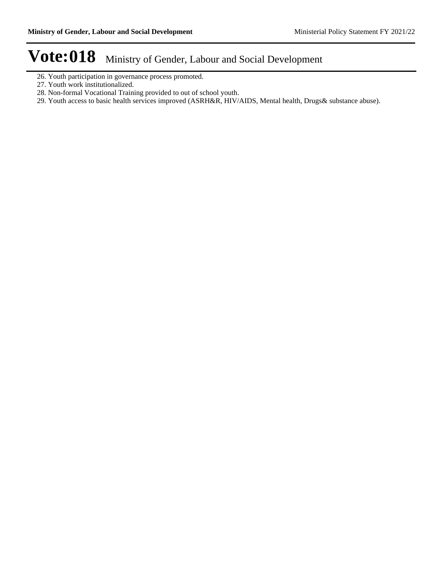- 26. Youth participation in governance process promoted.
- 27. Youth work institutionalized.
- 28. Non-formal Vocational Training provided to out of school youth.
- 29. Youth access to basic health services improved (ASRH&R, HIV/AIDS, Mental health, Drugs& substance abuse).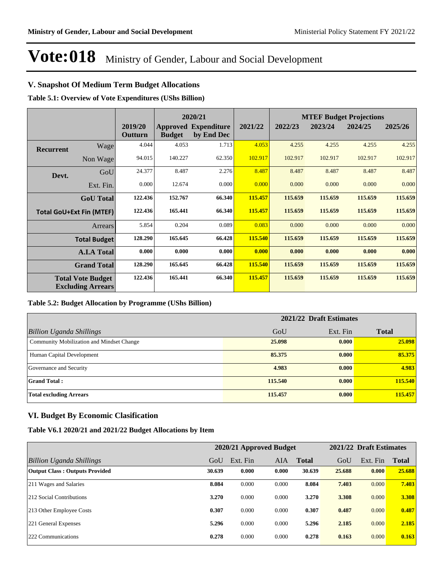### **V. Snapshot Of Medium Term Budget Allocations**

**Table 5.1: Overview of Vote Expenditures (UShs Billion)**

|           |                                                      |                    |               | 2020/21                                   |         |         |         | <b>MTEF Budget Projections</b> |         |
|-----------|------------------------------------------------------|--------------------|---------------|-------------------------------------------|---------|---------|---------|--------------------------------|---------|
|           |                                                      | 2019/20<br>Outturn | <b>Budget</b> | <b>Approved Expenditure</b><br>by End Dec | 2021/22 | 2022/23 | 2023/24 | 2024/25                        | 2025/26 |
| Recurrent | Wage                                                 | 4.044              | 4.053         | 1.713                                     | 4.053   | 4.255   | 4.255   | 4.255                          | 4.255   |
|           | Non Wage                                             | 94.015             | 140.227       | 62.350                                    | 102.917 | 102.917 | 102.917 | 102.917                        | 102.917 |
| Devt.     | GoU                                                  | 24.377             | 8.487         | 2.276                                     | 8.487   | 8.487   | 8.487   | 8.487                          | 8.487   |
|           | Ext. Fin.                                            | 0.000              | 12.674        | 0.000                                     | 0.000   | 0.000   | 0.000   | 0.000                          | 0.000   |
|           | <b>GoU</b> Total                                     | 122.436            | 152.767       | 66.340                                    | 115.457 | 115.659 | 115.659 | 115.659                        | 115.659 |
|           | <b>Total GoU+Ext Fin (MTEF)</b>                      | 122.436            | 165.441       | 66.340                                    | 115.457 | 115.659 | 115.659 | 115.659                        | 115.659 |
|           | <b>Arrears</b>                                       | 5.854              | 0.204         | 0.089                                     | 0.083   | 0.000   | 0.000   | 0.000                          | 0.000   |
|           | <b>Total Budget</b>                                  | 128.290            | 165.645       | 66.428                                    | 115.540 | 115.659 | 115.659 | 115.659                        | 115.659 |
|           | <b>A.I.A Total</b>                                   | 0.000              | 0.000         | 0.000                                     | 0.000   | 0.000   | 0.000   | 0.000                          | 0.000   |
|           | <b>Grand Total</b>                                   | 128.290            | 165.645       | 66.428                                    | 115.540 | 115.659 | 115.659 | 115.659                        | 115.659 |
|           | <b>Total Vote Budget</b><br><b>Excluding Arrears</b> | 122.436            | 165.441       | 66.340                                    | 115.457 | 115.659 | 115.659 | 115.659                        | 115.659 |

#### **Table 5.2: Budget Allocation by Programme (UShs Billion)**

|                                           | 2021/22 Draft Estimates |          |              |  |  |
|-------------------------------------------|-------------------------|----------|--------------|--|--|
| <b>Billion Uganda Shillings</b>           | GoU                     | Ext. Fin | <b>Total</b> |  |  |
| Community Mobilization and Mindset Change | 25,098                  | 0.000    | 25.098       |  |  |
| Human Capital Development                 | 85,375                  | 0.000    | 85.375       |  |  |
| Governance and Security                   | 4.983                   | 0.000    | 4.983        |  |  |
| <b>Grand Total:</b>                       | 115.540                 | 0.000    | 115.540      |  |  |
| <b>Total excluding Arrears</b>            | 115.457                 | 0.000    | 115.457      |  |  |

#### **VI. Budget By Economic Clasification**

**Table V6.1 2020/21 and 2021/22 Budget Allocations by Item**

|                                       |        |          | 2020/21 Approved Budget |              |        | 2021/22 Draft Estimates |              |
|---------------------------------------|--------|----------|-------------------------|--------------|--------|-------------------------|--------------|
| Billion Uganda Shillings              | GoU    | Ext. Fin | <b>AIA</b>              | <b>Total</b> | GoU    | Ext. Fin                | <b>Total</b> |
| <b>Output Class: Outputs Provided</b> | 30.639 | 0.000    | 0.000                   | 30.639       | 25,688 | 0.000                   | 25.688       |
| 211 Wages and Salaries                | 8.084  | 0.000    | 0.000                   | 8.084        | 7.403  | 0.000                   | 7.403        |
| 212 Social Contributions              | 3.270  | 0.000    | 0.000                   | 3.270        | 3.308  | 0.000                   | 3.308        |
| 213 Other Employee Costs              | 0.307  | 0.000    | 0.000                   | 0.307        | 0.487  | 0.000                   | 0.487        |
| 221 General Expenses                  | 5.296  | 0.000    | 0.000                   | 5.296        | 2.185  | 0.000                   | 2.185        |
| 222 Communications                    | 0.278  | 0.000    | 0.000                   | 0.278        | 0.163  | 0.000                   | 0.163        |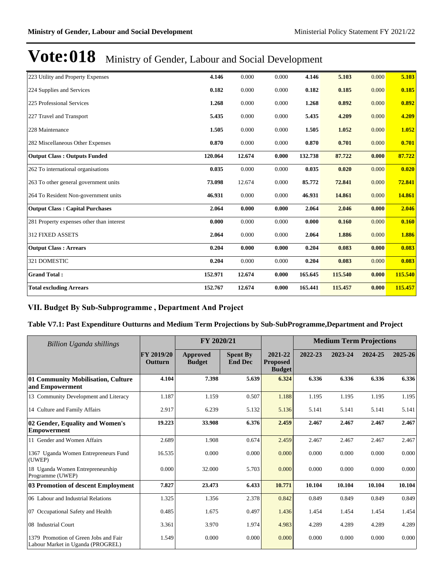| 223 Utility and Property Expenses         | 4.146   | 0.000  | 0.000 | 4.146   | 5.103   | 0.000 | 5.103   |
|-------------------------------------------|---------|--------|-------|---------|---------|-------|---------|
| 224 Supplies and Services                 | 0.182   | 0.000  | 0.000 | 0.182   | 0.185   | 0.000 | 0.185   |
| 225 Professional Services                 | 1.268   | 0.000  | 0.000 | 1.268   | 0.892   | 0.000 | 0.892   |
| 227 Travel and Transport                  | 5.435   | 0.000  | 0.000 | 5.435   | 4.209   | 0.000 | 4.209   |
| 228 Maintenance                           | 1.505   | 0.000  | 0.000 | 1.505   | 1.052   | 0.000 | 1.052   |
| 282 Miscellaneous Other Expenses          | 0.870   | 0.000  | 0.000 | 0.870   | 0.701   | 0.000 | 0.701   |
| <b>Output Class: Outputs Funded</b>       | 120.064 | 12.674 | 0.000 | 132.738 | 87.722  | 0.000 | 87.722  |
| 262 To international organisations        | 0.035   | 0.000  | 0.000 | 0.035   | 0.020   | 0.000 | 0.020   |
| 263 To other general government units     | 73.098  | 12.674 | 0.000 | 85.772  | 72.841  | 0.000 | 72.841  |
| 264 To Resident Non-government units      | 46.931  | 0.000  | 0.000 | 46.931  | 14.861  | 0.000 | 14.861  |
| <b>Output Class: Capital Purchases</b>    | 2.064   | 0.000  | 0.000 | 2.064   | 2.046   | 0.000 | 2.046   |
| 281 Property expenses other than interest | 0.000   | 0.000  | 0.000 | 0.000   | 0.160   | 0.000 | 0.160   |
| <b>312 FIXED ASSETS</b>                   | 2.064   | 0.000  | 0.000 | 2.064   | 1.886   | 0.000 | 1.886   |
| <b>Output Class: Arrears</b>              | 0.204   | 0.000  | 0.000 | 0.204   | 0.083   | 0.000 | 0.083   |
| 321 DOMESTIC                              | 0.204   | 0.000  | 0.000 | 0.204   | 0.083   | 0.000 | 0.083   |
| <b>Grand Total:</b>                       | 152.971 | 12.674 | 0.000 | 165.645 | 115.540 | 0.000 | 115.540 |
| <b>Total excluding Arrears</b>            | 152.767 | 12.674 | 0.000 | 165.441 | 115.457 | 0.000 | 115.457 |

### VII. Budget By Sub-Subprogramme, Department And Project

#### **Table V7.1: Past Expenditure Outturns and Medium Term Projections by Sub-SubProgramme,Department and Project**

| <b>Billion Uganda shillings</b>                                            |                              | FY 2020/21                |                                   |                                             | <b>Medium Term Projections</b> |         |         |         |
|----------------------------------------------------------------------------|------------------------------|---------------------------|-----------------------------------|---------------------------------------------|--------------------------------|---------|---------|---------|
|                                                                            | FY 2019/20<br><b>Outturn</b> | Approved<br><b>Budget</b> | <b>Spent By</b><br><b>End Dec</b> | 2021-22<br><b>Proposed</b><br><b>Budget</b> | 2022-23                        | 2023-24 | 2024-25 | 2025-26 |
| 01 Community Mobilisation, Culture<br>and Empowerment                      | 4.104                        | 7.398                     | 5.639                             | 6.324                                       | 6.336                          | 6.336   | 6.336   | 6.336   |
| 13 Community Development and Literacy                                      | 1.187                        | 1.159                     | 0.507                             | 1.188                                       | 1.195                          | 1.195   | 1.195   | 1.195   |
| 14 Culture and Family Affairs                                              | 2.917                        | 6.239                     | 5.132                             | 5.136                                       | 5.141                          | 5.141   | 5.141   | 5.141   |
| 02 Gender, Equality and Women's<br>Empowerment                             | 19.223                       | 33.908                    | 6.376                             | 2.459                                       | 2.467                          | 2.467   | 2.467   | 2.467   |
| 11 Gender and Women Affairs                                                | 2.689                        | 1.908                     | 0.674                             | 2.459                                       | 2.467                          | 2.467   | 2.467   | 2.467   |
| 1367 Uganda Women Entrepreneurs Fund<br>(UWEP)                             | 16.535                       | 0.000                     | 0.000                             | 0.000                                       | 0.000                          | 0.000   | 0.000   | 0.000   |
| 18 Uganda Women Entrepreneurship<br>Programme (UWEP)                       | 0.000                        | 32.000                    | 5.703                             | 0.000                                       | 0.000                          | 0.000   | 0.000   | 0.000   |
| 03 Promotion of descent Employment                                         | 7.827                        | 23.473                    | 6.433                             | 10.771                                      | 10.104                         | 10.104  | 10.104  | 10.104  |
| 06 Labour and Industrial Relations                                         | 1.325                        | 1.356                     | 2.378                             | 0.842                                       | 0.849                          | 0.849   | 0.849   | 0.849   |
| 07 Occupational Safety and Health                                          | 0.485                        | 1.675                     | 0.497                             | 1.436                                       | 1.454                          | 1.454   | 1.454   | 1.454   |
| 08 Industrial Court                                                        | 3.361                        | 3.970                     | 1.974                             | 4.983                                       | 4.289                          | 4.289   | 4.289   | 4.289   |
| 1379 Promotion of Green Jobs and Fair<br>Labour Market in Uganda (PROGREL) | 1.549                        | 0.000                     | 0.000                             | 0.000                                       | 0.000                          | 0.000   | 0.000   | 0.000   |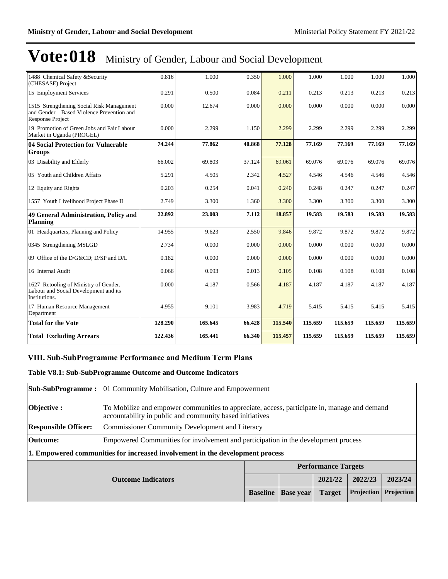| 1488 Chemical Safety & Security<br>(CHESASE) Project                                                        | 0.816   | 1.000   | 0.350  | 1.000   | 1.000   | 1.000   | 1.000   | 1.000   |
|-------------------------------------------------------------------------------------------------------------|---------|---------|--------|---------|---------|---------|---------|---------|
| 15 Employment Services                                                                                      | 0.291   | 0.500   | 0.084  | 0.211   | 0.213   | 0.213   | 0.213   | 0.213   |
| 1515 Strengthening Social Risk Management<br>and Gender - Based Violence Prevention and<br>Response Project | 0.000   | 12.674  | 0.000  | 0.000   | 0.000   | 0.000   | 0.000   | 0.000   |
| 19 Promotion of Green Jobs and Fair Labour<br>Market in Uganda (PROGEL)                                     | 0.000   | 2.299   | 1.150  | 2.299   | 2.299   | 2.299   | 2.299   | 2.299   |
| 04 Social Protection for Vulnerable<br><b>Groups</b>                                                        | 74.244  | 77.862  | 40.868 | 77.128  | 77.169  | 77.169  | 77.169  | 77.169  |
| 03 Disability and Elderly                                                                                   | 66.002  | 69.803  | 37.124 | 69.061  | 69.076  | 69.076  | 69.076  | 69.076  |
| 05 Youth and Children Affairs                                                                               | 5.291   | 4.505   | 2.342  | 4.527   | 4.546   | 4.546   | 4.546   | 4.546   |
| 12 Equity and Rights                                                                                        | 0.203   | 0.254   | 0.041  | 0.240   | 0.248   | 0.247   | 0.247   | 0.247   |
| 1557 Youth Livelihood Project Phase II                                                                      | 2.749   | 3.300   | 1.360  | 3.300   | 3.300   | 3.300   | 3.300   | 3.300   |
| 49 General Administration, Policy and<br><b>Planning</b>                                                    | 22.892  | 23.003  | 7.112  | 18.857  | 19.583  | 19.583  | 19.583  | 19.583  |
| 01 Headquarters, Planning and Policy                                                                        | 14.955  | 9.623   | 2.550  | 9.846   | 9.872   | 9.872   | 9.872   | 9.872   |
| 0345 Strengthening MSLGD                                                                                    | 2.734   | 0.000   | 0.000  | 0.000   | 0.000   | 0.000   | 0.000   | 0.000   |
| 09 Office of the D/G&CD D/SP and D/L                                                                        | 0.182   | 0.000   | 0.000  | 0.000   | 0.000   | 0.000   | 0.000   | 0.000   |
| 16 Internal Audit                                                                                           | 0.066   | 0.093   | 0.013  | 0.105   | 0.108   | 0.108   | 0.108   | 0.108   |
| 1627 Retooling of Ministry of Gender,<br>Labour and Social Development and its<br>Institutions.             | 0.000   | 4.187   | 0.566  | 4.187   | 4.187   | 4.187   | 4.187   | 4.187   |
| 17 Human Resource Management<br>Department                                                                  | 4.955   | 9.101   | 3.983  | 4.719   | 5.415   | 5.415   | 5.415   | 5.415   |
| <b>Total for the Vote</b>                                                                                   | 128.290 | 165.645 | 66.428 | 115.540 | 115.659 | 115.659 | 115.659 | 115.659 |
| <b>Total Excluding Arrears</b>                                                                              | 122.436 | 165.441 | 66.340 | 115.457 | 115.659 | 115.659 | 115.659 | 115.659 |

#### **VIII. Sub-SubProgramme Performance and Medium Term Plans**

#### **Table V8.1: Sub-SubProgramme Outcome and Outcome Indicators**

|                             | <b>Sub-SubProgramme:</b> 01 Community Mobilisation, Culture and Empowerment        |                                                                                                                                                          |                  |                            |            |            |  |
|-----------------------------|------------------------------------------------------------------------------------|----------------------------------------------------------------------------------------------------------------------------------------------------------|------------------|----------------------------|------------|------------|--|
| $\mathbf{Objective:}$       |                                                                                    | To Mobilize and empower communities to appreciate, access, participate in, manage and demand<br>accountability in public and community based initiatives |                  |                            |            |            |  |
| <b>Responsible Officer:</b> | <b>Commissioner Community Development and Literacy</b>                             |                                                                                                                                                          |                  |                            |            |            |  |
| Outcome:                    | Empowered Communities for involvement and participation in the development process |                                                                                                                                                          |                  |                            |            |            |  |
|                             | 1. Empowered communities for increased involvement in the development process      |                                                                                                                                                          |                  |                            |            |            |  |
|                             |                                                                                    |                                                                                                                                                          |                  | <b>Performance Targets</b> |            |            |  |
|                             | <b>Outcome Indicators</b>                                                          |                                                                                                                                                          |                  | 2021/22                    | 2022/23    | 2023/24    |  |
|                             |                                                                                    | <b>Baseline</b>                                                                                                                                          | <b>Base year</b> | <b>Target</b>              | Projection | Projection |  |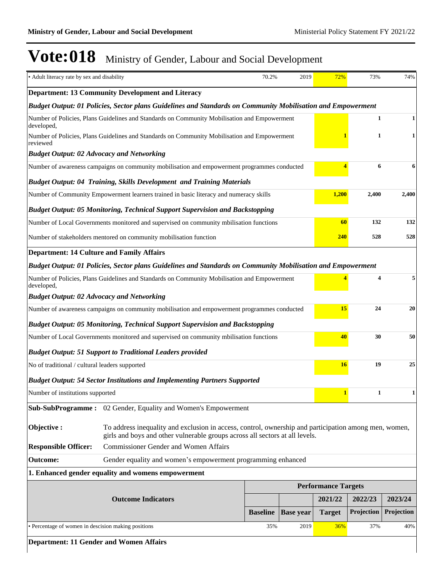| • Adult literacy rate by sex and disability                                                                |                                                                                                                              | 70.2%           | 2019             | 72%                        | 73%          | 74%        |
|------------------------------------------------------------------------------------------------------------|------------------------------------------------------------------------------------------------------------------------------|-----------------|------------------|----------------------------|--------------|------------|
|                                                                                                            | <b>Department: 13 Community Development and Literacy</b>                                                                     |                 |                  |                            |              |            |
|                                                                                                            | Budget Output: 01 Policies, Sector plans Guidelines and Standards on Community Mobilisation and Empowerment                  |                 |                  |                            |              |            |
| developed,                                                                                                 | Number of Policies, Plans Guidelines and Standards on Community Mobilisation and Empowerment                                 |                 |                  |                            | $\mathbf{1}$ | 1          |
| reviewed                                                                                                   | Number of Policies, Plans Guidelines and Standards on Community Mobilisation and Empowerment                                 |                 |                  |                            | $\mathbf{1}$ | 1          |
| <b>Budget Output: 02 Advocacy and Networking</b>                                                           |                                                                                                                              |                 |                  |                            |              |            |
|                                                                                                            | Number of awareness campaigns on community mobilisation and empowerment programmes conducted                                 |                 |                  |                            | 6            | 6          |
|                                                                                                            | <b>Budget Output: 04 Training, Skills Development and Training Materials</b>                                                 |                 |                  |                            |              |            |
|                                                                                                            | Number of Community Empowerment learners trained in basic literacy and numeracy skills                                       |                 |                  | 1,200                      | 2,400        | 2,400      |
|                                                                                                            | <b>Budget Output: 05 Monitoring, Technical Support Supervision and Backstopping</b>                                          |                 |                  |                            |              |            |
|                                                                                                            | Number of Local Governments monitored and supervised on community mbilisation functions                                      |                 |                  | 60                         | 132          | 132        |
|                                                                                                            | Number of stakeholders mentored on community mobilisation function                                                           |                 |                  | 240                        | 528          | 528        |
| <b>Department: 14 Culture and Family Affairs</b>                                                           |                                                                                                                              |                 |                  |                            |              |            |
|                                                                                                            | Budget Output: 01 Policies, Sector plans Guidelines and Standards on Community Mobilisation and Empowerment                  |                 |                  |                            |              |            |
| Number of Policies, Plans Guidelines and Standards on Community Mobilisation and Empowerment<br>developed, |                                                                                                                              |                 |                  |                            | 4            | 5          |
| <b>Budget Output: 02 Advocacy and Networking</b>                                                           |                                                                                                                              |                 |                  |                            |              |            |
|                                                                                                            | Number of awareness campaigns on community mobilisation and empowerment programmes conducted                                 |                 |                  | 15                         | 24           | 20         |
|                                                                                                            | <b>Budget Output: 05 Monitoring, Technical Support Supervision and Backstopping</b>                                          |                 |                  |                            |              |            |
|                                                                                                            | Number of Local Governments monitored and supervised on community mbilisation functions                                      |                 |                  | 40                         | 30           | 50         |
|                                                                                                            | <b>Budget Output: 51 Support to Traditional Leaders provided</b>                                                             |                 |                  |                            |              |            |
| No of traditional / cultural leaders supported                                                             |                                                                                                                              |                 |                  | 16                         | 19           | 25         |
|                                                                                                            | <b>Budget Output: 54 Sector Institutions and Implementing Partners Supported</b>                                             |                 |                  |                            |              |            |
| Number of institutions supported                                                                           |                                                                                                                              |                 |                  |                            | 1            | 1          |
|                                                                                                            | Sub-SubProgramme: 02 Gender, Equality and Women's Empowerment                                                                |                 |                  |                            |              |            |
| Objective:                                                                                                 | To address inequality and exclusion in access, control, ownership and participation among men, women,                        |                 |                  |                            |              |            |
| <b>Responsible Officer:</b>                                                                                | girls and boys and other vulnerable groups across all sectors at all levels.<br><b>Commissioner Gender and Women Affairs</b> |                 |                  |                            |              |            |
| <b>Outcome:</b>                                                                                            | Gender equality and women's empowerment programming enhanced                                                                 |                 |                  |                            |              |            |
|                                                                                                            | 1. Enhanced gender equality and womens empowerment                                                                           |                 |                  |                            |              |            |
|                                                                                                            |                                                                                                                              |                 |                  | <b>Performance Targets</b> |              |            |
|                                                                                                            | <b>Outcome Indicators</b>                                                                                                    |                 |                  | 2021/22                    | 2022/23      | 2023/24    |
|                                                                                                            |                                                                                                                              | <b>Baseline</b> | <b>Base year</b> | <b>Target</b>              | Projection   | Projection |
| · Percentage of women in descision making positions                                                        |                                                                                                                              | 35%             | 2019             | 36%                        | 37%          | 40%        |
| <b>Department: 11 Gender and Women Affairs</b>                                                             |                                                                                                                              |                 |                  |                            |              |            |
|                                                                                                            |                                                                                                                              |                 |                  |                            |              |            |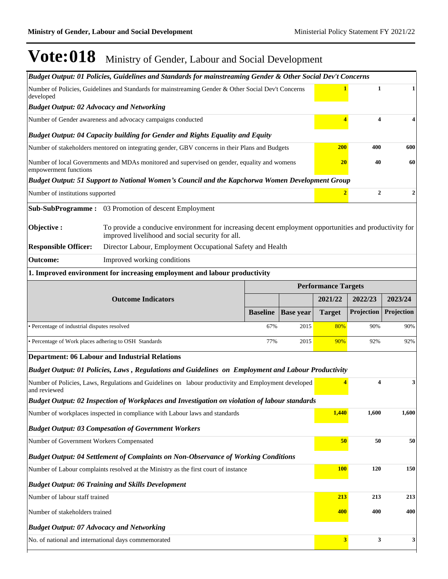| Number of Policies, Guidelines and Standards for mainstreaming Gender & Other Social Dev't Concerns<br>$\mathbf{1}$<br>1<br>developed<br><b>Budget Output: 02 Advocacy and Networking</b><br>$\overline{\mathbf{4}}$<br>Number of Gender awareness and advocacy campaigns conducted<br>4<br><b>Budget Output: 04 Capacity building for Gender and Rights Equality and Equity</b><br><b>200</b><br>400<br>600<br>Number of stakeholders mentored on integrating gender, GBV concerns in their Plans and Budgets<br>20<br>40<br>60<br>Number of local Governments and MDAs monitored and supervised on gender, equality and womens<br>empowerment functions<br>Budget Output: 51 Support to National Women's Council and the Kapchorwa Women Development Group<br>$\mathbf{2}$<br>$\overline{2}$<br>$\boldsymbol{2}$<br>Number of institutions supported<br>Sub-SubProgramme: 03 Promotion of descent Employment<br>Objective:<br>To provide a conducive environment for increasing decent employment opportunities and productivity for<br>improved livelihood and social security for all.<br><b>Responsible Officer:</b><br>Director Labour, Employment Occupational Safety and Health<br>Improved working conditions<br><b>Outcome:</b><br>1. Improved environment for increasing employment and labour productivity<br><b>Performance Targets</b><br><b>Outcome Indicators</b><br>2021/22<br>2022/23<br>2023/24<br>Projection<br><b>Baseline</b><br><b>Base year</b><br><b>Target</b><br>Projection<br>• Percentage of industrial disputes resolved<br>67%<br>2015<br>90%<br>80%<br>90%<br>• Percentage of Work places adhering to OSH Standards<br>77%<br>2015<br>90%<br>92%<br>92%<br><b>Department: 06 Labour and Industrial Relations</b><br>Budget Output: 01 Policies, Laws, Regulations and Guidelines on Employment and Labour Productivity<br>$\overline{\mathbf{4}}$<br>Number of Policies, Laws, Regulations and Guidelines on labour productivity and Employment developed<br>3<br>and reviewed<br>Budget Output: 02 Inspection of Workplaces and Investigation on violation of labour standards<br>1,440<br>1,600<br>1,600<br>Number of workplaces inspected in compliance with Labour laws and standards<br><b>Budget Output: 03 Compesation of Government Workers</b><br>50<br>50<br>50<br>Number of Government Workers Compensated<br><b>Budget Output: 04 Settlement of Complaints on Non-Observance of Working Conditions</b><br><b>100</b><br>120<br>150<br>Number of Labour complaints resolved at the Ministry as the first court of instance<br><b>Budget Output: 06 Training and Skills Development</b><br>213<br>213<br>Number of labour staff trained<br>213<br>400<br>400<br>400<br>Number of stakeholders trained<br><b>Budget Output: 07 Advocacy and Networking</b><br>3 <sup>1</sup><br>3<br>$\mathbf{3}$<br>No. of national and international days commemorated |  | Budget Output: 01 Policies, Guidelines and Standards for mainstreaming Gender & Other Social Dev't Concerns |  |  |  |  |  |  |  |
|---------------------------------------------------------------------------------------------------------------------------------------------------------------------------------------------------------------------------------------------------------------------------------------------------------------------------------------------------------------------------------------------------------------------------------------------------------------------------------------------------------------------------------------------------------------------------------------------------------------------------------------------------------------------------------------------------------------------------------------------------------------------------------------------------------------------------------------------------------------------------------------------------------------------------------------------------------------------------------------------------------------------------------------------------------------------------------------------------------------------------------------------------------------------------------------------------------------------------------------------------------------------------------------------------------------------------------------------------------------------------------------------------------------------------------------------------------------------------------------------------------------------------------------------------------------------------------------------------------------------------------------------------------------------------------------------------------------------------------------------------------------------------------------------------------------------------------------------------------------------------------------------------------------------------------------------------------------------------------------------------------------------------------------------------------------------------------------------------------------------------------------------------------------------------------------------------------------------------------------------------------------------------------------------------------------------------------------------------------------------------------------------------------------------------------------------------------------------------------------------------------------------------------------------------------------------------------------------------------------------------------------------------------------------------------------------------------------------------------------------------------------------------------------------------------------------------------------------------------------------------------------------------|--|-------------------------------------------------------------------------------------------------------------|--|--|--|--|--|--|--|
|                                                                                                                                                                                                                                                                                                                                                                                                                                                                                                                                                                                                                                                                                                                                                                                                                                                                                                                                                                                                                                                                                                                                                                                                                                                                                                                                                                                                                                                                                                                                                                                                                                                                                                                                                                                                                                                                                                                                                                                                                                                                                                                                                                                                                                                                                                                                                                                                                                                                                                                                                                                                                                                                                                                                                                                                                                                                                                   |  |                                                                                                             |  |  |  |  |  |  |  |
|                                                                                                                                                                                                                                                                                                                                                                                                                                                                                                                                                                                                                                                                                                                                                                                                                                                                                                                                                                                                                                                                                                                                                                                                                                                                                                                                                                                                                                                                                                                                                                                                                                                                                                                                                                                                                                                                                                                                                                                                                                                                                                                                                                                                                                                                                                                                                                                                                                                                                                                                                                                                                                                                                                                                                                                                                                                                                                   |  |                                                                                                             |  |  |  |  |  |  |  |
|                                                                                                                                                                                                                                                                                                                                                                                                                                                                                                                                                                                                                                                                                                                                                                                                                                                                                                                                                                                                                                                                                                                                                                                                                                                                                                                                                                                                                                                                                                                                                                                                                                                                                                                                                                                                                                                                                                                                                                                                                                                                                                                                                                                                                                                                                                                                                                                                                                                                                                                                                                                                                                                                                                                                                                                                                                                                                                   |  |                                                                                                             |  |  |  |  |  |  |  |
|                                                                                                                                                                                                                                                                                                                                                                                                                                                                                                                                                                                                                                                                                                                                                                                                                                                                                                                                                                                                                                                                                                                                                                                                                                                                                                                                                                                                                                                                                                                                                                                                                                                                                                                                                                                                                                                                                                                                                                                                                                                                                                                                                                                                                                                                                                                                                                                                                                                                                                                                                                                                                                                                                                                                                                                                                                                                                                   |  |                                                                                                             |  |  |  |  |  |  |  |
|                                                                                                                                                                                                                                                                                                                                                                                                                                                                                                                                                                                                                                                                                                                                                                                                                                                                                                                                                                                                                                                                                                                                                                                                                                                                                                                                                                                                                                                                                                                                                                                                                                                                                                                                                                                                                                                                                                                                                                                                                                                                                                                                                                                                                                                                                                                                                                                                                                                                                                                                                                                                                                                                                                                                                                                                                                                                                                   |  |                                                                                                             |  |  |  |  |  |  |  |
|                                                                                                                                                                                                                                                                                                                                                                                                                                                                                                                                                                                                                                                                                                                                                                                                                                                                                                                                                                                                                                                                                                                                                                                                                                                                                                                                                                                                                                                                                                                                                                                                                                                                                                                                                                                                                                                                                                                                                                                                                                                                                                                                                                                                                                                                                                                                                                                                                                                                                                                                                                                                                                                                                                                                                                                                                                                                                                   |  |                                                                                                             |  |  |  |  |  |  |  |
|                                                                                                                                                                                                                                                                                                                                                                                                                                                                                                                                                                                                                                                                                                                                                                                                                                                                                                                                                                                                                                                                                                                                                                                                                                                                                                                                                                                                                                                                                                                                                                                                                                                                                                                                                                                                                                                                                                                                                                                                                                                                                                                                                                                                                                                                                                                                                                                                                                                                                                                                                                                                                                                                                                                                                                                                                                                                                                   |  |                                                                                                             |  |  |  |  |  |  |  |
|                                                                                                                                                                                                                                                                                                                                                                                                                                                                                                                                                                                                                                                                                                                                                                                                                                                                                                                                                                                                                                                                                                                                                                                                                                                                                                                                                                                                                                                                                                                                                                                                                                                                                                                                                                                                                                                                                                                                                                                                                                                                                                                                                                                                                                                                                                                                                                                                                                                                                                                                                                                                                                                                                                                                                                                                                                                                                                   |  |                                                                                                             |  |  |  |  |  |  |  |
|                                                                                                                                                                                                                                                                                                                                                                                                                                                                                                                                                                                                                                                                                                                                                                                                                                                                                                                                                                                                                                                                                                                                                                                                                                                                                                                                                                                                                                                                                                                                                                                                                                                                                                                                                                                                                                                                                                                                                                                                                                                                                                                                                                                                                                                                                                                                                                                                                                                                                                                                                                                                                                                                                                                                                                                                                                                                                                   |  |                                                                                                             |  |  |  |  |  |  |  |
|                                                                                                                                                                                                                                                                                                                                                                                                                                                                                                                                                                                                                                                                                                                                                                                                                                                                                                                                                                                                                                                                                                                                                                                                                                                                                                                                                                                                                                                                                                                                                                                                                                                                                                                                                                                                                                                                                                                                                                                                                                                                                                                                                                                                                                                                                                                                                                                                                                                                                                                                                                                                                                                                                                                                                                                                                                                                                                   |  |                                                                                                             |  |  |  |  |  |  |  |
|                                                                                                                                                                                                                                                                                                                                                                                                                                                                                                                                                                                                                                                                                                                                                                                                                                                                                                                                                                                                                                                                                                                                                                                                                                                                                                                                                                                                                                                                                                                                                                                                                                                                                                                                                                                                                                                                                                                                                                                                                                                                                                                                                                                                                                                                                                                                                                                                                                                                                                                                                                                                                                                                                                                                                                                                                                                                                                   |  |                                                                                                             |  |  |  |  |  |  |  |
|                                                                                                                                                                                                                                                                                                                                                                                                                                                                                                                                                                                                                                                                                                                                                                                                                                                                                                                                                                                                                                                                                                                                                                                                                                                                                                                                                                                                                                                                                                                                                                                                                                                                                                                                                                                                                                                                                                                                                                                                                                                                                                                                                                                                                                                                                                                                                                                                                                                                                                                                                                                                                                                                                                                                                                                                                                                                                                   |  |                                                                                                             |  |  |  |  |  |  |  |
|                                                                                                                                                                                                                                                                                                                                                                                                                                                                                                                                                                                                                                                                                                                                                                                                                                                                                                                                                                                                                                                                                                                                                                                                                                                                                                                                                                                                                                                                                                                                                                                                                                                                                                                                                                                                                                                                                                                                                                                                                                                                                                                                                                                                                                                                                                                                                                                                                                                                                                                                                                                                                                                                                                                                                                                                                                                                                                   |  |                                                                                                             |  |  |  |  |  |  |  |
|                                                                                                                                                                                                                                                                                                                                                                                                                                                                                                                                                                                                                                                                                                                                                                                                                                                                                                                                                                                                                                                                                                                                                                                                                                                                                                                                                                                                                                                                                                                                                                                                                                                                                                                                                                                                                                                                                                                                                                                                                                                                                                                                                                                                                                                                                                                                                                                                                                                                                                                                                                                                                                                                                                                                                                                                                                                                                                   |  |                                                                                                             |  |  |  |  |  |  |  |
|                                                                                                                                                                                                                                                                                                                                                                                                                                                                                                                                                                                                                                                                                                                                                                                                                                                                                                                                                                                                                                                                                                                                                                                                                                                                                                                                                                                                                                                                                                                                                                                                                                                                                                                                                                                                                                                                                                                                                                                                                                                                                                                                                                                                                                                                                                                                                                                                                                                                                                                                                                                                                                                                                                                                                                                                                                                                                                   |  |                                                                                                             |  |  |  |  |  |  |  |
|                                                                                                                                                                                                                                                                                                                                                                                                                                                                                                                                                                                                                                                                                                                                                                                                                                                                                                                                                                                                                                                                                                                                                                                                                                                                                                                                                                                                                                                                                                                                                                                                                                                                                                                                                                                                                                                                                                                                                                                                                                                                                                                                                                                                                                                                                                                                                                                                                                                                                                                                                                                                                                                                                                                                                                                                                                                                                                   |  |                                                                                                             |  |  |  |  |  |  |  |
|                                                                                                                                                                                                                                                                                                                                                                                                                                                                                                                                                                                                                                                                                                                                                                                                                                                                                                                                                                                                                                                                                                                                                                                                                                                                                                                                                                                                                                                                                                                                                                                                                                                                                                                                                                                                                                                                                                                                                                                                                                                                                                                                                                                                                                                                                                                                                                                                                                                                                                                                                                                                                                                                                                                                                                                                                                                                                                   |  |                                                                                                             |  |  |  |  |  |  |  |
|                                                                                                                                                                                                                                                                                                                                                                                                                                                                                                                                                                                                                                                                                                                                                                                                                                                                                                                                                                                                                                                                                                                                                                                                                                                                                                                                                                                                                                                                                                                                                                                                                                                                                                                                                                                                                                                                                                                                                                                                                                                                                                                                                                                                                                                                                                                                                                                                                                                                                                                                                                                                                                                                                                                                                                                                                                                                                                   |  |                                                                                                             |  |  |  |  |  |  |  |
|                                                                                                                                                                                                                                                                                                                                                                                                                                                                                                                                                                                                                                                                                                                                                                                                                                                                                                                                                                                                                                                                                                                                                                                                                                                                                                                                                                                                                                                                                                                                                                                                                                                                                                                                                                                                                                                                                                                                                                                                                                                                                                                                                                                                                                                                                                                                                                                                                                                                                                                                                                                                                                                                                                                                                                                                                                                                                                   |  |                                                                                                             |  |  |  |  |  |  |  |
|                                                                                                                                                                                                                                                                                                                                                                                                                                                                                                                                                                                                                                                                                                                                                                                                                                                                                                                                                                                                                                                                                                                                                                                                                                                                                                                                                                                                                                                                                                                                                                                                                                                                                                                                                                                                                                                                                                                                                                                                                                                                                                                                                                                                                                                                                                                                                                                                                                                                                                                                                                                                                                                                                                                                                                                                                                                                                                   |  |                                                                                                             |  |  |  |  |  |  |  |
|                                                                                                                                                                                                                                                                                                                                                                                                                                                                                                                                                                                                                                                                                                                                                                                                                                                                                                                                                                                                                                                                                                                                                                                                                                                                                                                                                                                                                                                                                                                                                                                                                                                                                                                                                                                                                                                                                                                                                                                                                                                                                                                                                                                                                                                                                                                                                                                                                                                                                                                                                                                                                                                                                                                                                                                                                                                                                                   |  |                                                                                                             |  |  |  |  |  |  |  |
|                                                                                                                                                                                                                                                                                                                                                                                                                                                                                                                                                                                                                                                                                                                                                                                                                                                                                                                                                                                                                                                                                                                                                                                                                                                                                                                                                                                                                                                                                                                                                                                                                                                                                                                                                                                                                                                                                                                                                                                                                                                                                                                                                                                                                                                                                                                                                                                                                                                                                                                                                                                                                                                                                                                                                                                                                                                                                                   |  |                                                                                                             |  |  |  |  |  |  |  |
|                                                                                                                                                                                                                                                                                                                                                                                                                                                                                                                                                                                                                                                                                                                                                                                                                                                                                                                                                                                                                                                                                                                                                                                                                                                                                                                                                                                                                                                                                                                                                                                                                                                                                                                                                                                                                                                                                                                                                                                                                                                                                                                                                                                                                                                                                                                                                                                                                                                                                                                                                                                                                                                                                                                                                                                                                                                                                                   |  |                                                                                                             |  |  |  |  |  |  |  |
|                                                                                                                                                                                                                                                                                                                                                                                                                                                                                                                                                                                                                                                                                                                                                                                                                                                                                                                                                                                                                                                                                                                                                                                                                                                                                                                                                                                                                                                                                                                                                                                                                                                                                                                                                                                                                                                                                                                                                                                                                                                                                                                                                                                                                                                                                                                                                                                                                                                                                                                                                                                                                                                                                                                                                                                                                                                                                                   |  |                                                                                                             |  |  |  |  |  |  |  |
|                                                                                                                                                                                                                                                                                                                                                                                                                                                                                                                                                                                                                                                                                                                                                                                                                                                                                                                                                                                                                                                                                                                                                                                                                                                                                                                                                                                                                                                                                                                                                                                                                                                                                                                                                                                                                                                                                                                                                                                                                                                                                                                                                                                                                                                                                                                                                                                                                                                                                                                                                                                                                                                                                                                                                                                                                                                                                                   |  |                                                                                                             |  |  |  |  |  |  |  |
|                                                                                                                                                                                                                                                                                                                                                                                                                                                                                                                                                                                                                                                                                                                                                                                                                                                                                                                                                                                                                                                                                                                                                                                                                                                                                                                                                                                                                                                                                                                                                                                                                                                                                                                                                                                                                                                                                                                                                                                                                                                                                                                                                                                                                                                                                                                                                                                                                                                                                                                                                                                                                                                                                                                                                                                                                                                                                                   |  |                                                                                                             |  |  |  |  |  |  |  |
|                                                                                                                                                                                                                                                                                                                                                                                                                                                                                                                                                                                                                                                                                                                                                                                                                                                                                                                                                                                                                                                                                                                                                                                                                                                                                                                                                                                                                                                                                                                                                                                                                                                                                                                                                                                                                                                                                                                                                                                                                                                                                                                                                                                                                                                                                                                                                                                                                                                                                                                                                                                                                                                                                                                                                                                                                                                                                                   |  |                                                                                                             |  |  |  |  |  |  |  |
|                                                                                                                                                                                                                                                                                                                                                                                                                                                                                                                                                                                                                                                                                                                                                                                                                                                                                                                                                                                                                                                                                                                                                                                                                                                                                                                                                                                                                                                                                                                                                                                                                                                                                                                                                                                                                                                                                                                                                                                                                                                                                                                                                                                                                                                                                                                                                                                                                                                                                                                                                                                                                                                                                                                                                                                                                                                                                                   |  |                                                                                                             |  |  |  |  |  |  |  |
|                                                                                                                                                                                                                                                                                                                                                                                                                                                                                                                                                                                                                                                                                                                                                                                                                                                                                                                                                                                                                                                                                                                                                                                                                                                                                                                                                                                                                                                                                                                                                                                                                                                                                                                                                                                                                                                                                                                                                                                                                                                                                                                                                                                                                                                                                                                                                                                                                                                                                                                                                                                                                                                                                                                                                                                                                                                                                                   |  |                                                                                                             |  |  |  |  |  |  |  |
|                                                                                                                                                                                                                                                                                                                                                                                                                                                                                                                                                                                                                                                                                                                                                                                                                                                                                                                                                                                                                                                                                                                                                                                                                                                                                                                                                                                                                                                                                                                                                                                                                                                                                                                                                                                                                                                                                                                                                                                                                                                                                                                                                                                                                                                                                                                                                                                                                                                                                                                                                                                                                                                                                                                                                                                                                                                                                                   |  |                                                                                                             |  |  |  |  |  |  |  |
|                                                                                                                                                                                                                                                                                                                                                                                                                                                                                                                                                                                                                                                                                                                                                                                                                                                                                                                                                                                                                                                                                                                                                                                                                                                                                                                                                                                                                                                                                                                                                                                                                                                                                                                                                                                                                                                                                                                                                                                                                                                                                                                                                                                                                                                                                                                                                                                                                                                                                                                                                                                                                                                                                                                                                                                                                                                                                                   |  |                                                                                                             |  |  |  |  |  |  |  |
|                                                                                                                                                                                                                                                                                                                                                                                                                                                                                                                                                                                                                                                                                                                                                                                                                                                                                                                                                                                                                                                                                                                                                                                                                                                                                                                                                                                                                                                                                                                                                                                                                                                                                                                                                                                                                                                                                                                                                                                                                                                                                                                                                                                                                                                                                                                                                                                                                                                                                                                                                                                                                                                                                                                                                                                                                                                                                                   |  |                                                                                                             |  |  |  |  |  |  |  |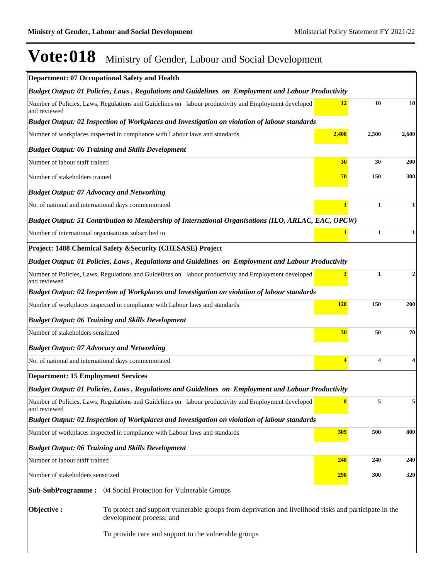|                                                     | Department: 07 Occupational Safety and Health                                                                                     |            |                         |              |
|-----------------------------------------------------|-----------------------------------------------------------------------------------------------------------------------------------|------------|-------------------------|--------------|
|                                                     | Budget Output: 01 Policies, Laws, Regulations and Guidelines on Employment and Labour Productivity                                |            |                         |              |
| and reviewed                                        | Number of Policies, Laws, Regulations and Guidelines on labour productivity and Employment developed                              | 12         | 10                      | 10           |
|                                                     | Budget Output: 02 Inspection of Workplaces and Investigation on violation of labour standards                                     |            |                         |              |
|                                                     | Number of workplaces inspected in compliance with Labour laws and standards                                                       | 2,400      | 2,500                   | 2,600        |
|                                                     | <b>Budget Output: 06 Training and Skills Development</b>                                                                          |            |                         |              |
| Number of labour staff trained                      |                                                                                                                                   | 30         | 30                      | 200          |
| Number of stakeholders trained                      |                                                                                                                                   | 70         | 150                     | 300          |
| <b>Budget Output: 07 Advocacy and Networking</b>    |                                                                                                                                   |            |                         |              |
| No. of national and international days commemorated |                                                                                                                                   |            | $\mathbf{1}$            | 1            |
|                                                     | Budget Output: 51 Contribution to Membership of International Organisations (ILO, ARLAC, EAC, OPCW)                               |            |                         |              |
| Number of international organisations subscribed to |                                                                                                                                   |            | $\mathbf{1}$            | $\mathbf{1}$ |
|                                                     | Project: 1488 Chemical Safety & Security (CHESASE) Project                                                                        |            |                         |              |
|                                                     | Budget Output: 01 Policies, Laws, Regulations and Guidelines on Employment and Labour Productivity                                |            |                         |              |
| and reviewed                                        | Number of Policies, Laws, Regulations and Guidelines on labour productivity and Employment developed                              | 3          | $\mathbf{1}$            | 2            |
|                                                     | Budget Output: 02 Inspection of Workplaces and Investigation on violation of labour standards                                     |            |                         |              |
|                                                     | Number of workplaces inspected in compliance with Labour laws and standards                                                       | <b>120</b> | 150                     | 200          |
|                                                     | <b>Budget Output: 06 Training and Skills Development</b>                                                                          |            |                         |              |
| Number of stakeholders sensitized                   |                                                                                                                                   | 30         | 50                      | 70           |
| <b>Budget Output: 07 Advocacy and Networking</b>    |                                                                                                                                   |            |                         |              |
| No. of national and international days commemorated |                                                                                                                                   | 4          | $\overline{\mathbf{4}}$ | 4            |
| <b>Department: 15 Employment Services</b>           |                                                                                                                                   |            |                         |              |
|                                                     | Budget Output: 01 Policies, Laws, Regulations and Guidelines on Employment and Labour Productivity                                |            |                         |              |
| and reviewed                                        | Number of Policies, Laws, Regulations and Guidelines on labour productivity and Employment developed                              |            | 5                       | 5            |
|                                                     | Budget Output: 02 Inspection of Workplaces and Investigation on violation of labour standards                                     |            |                         |              |
|                                                     | Number of workplaces inspected in compliance with Labour laws and standards                                                       | <b>309</b> | 500                     | 800          |
|                                                     | <b>Budget Output: 06 Training and Skills Development</b>                                                                          |            |                         |              |
| Number of labour staff trained                      |                                                                                                                                   | 240        | 240                     | 240          |
| Number of stakeholders sensitized                   |                                                                                                                                   | <b>290</b> | 300                     | 320          |
|                                                     | Sub-SubProgramme: 04 Social Protection for Vulnerable Groups                                                                      |            |                         |              |
| Objective:                                          | To protect and support vulnerable groups from deprivation and livelihood risks and participate in the<br>development process; and |            |                         |              |
|                                                     | To provide care and support to the vulnerable groups                                                                              |            |                         |              |
|                                                     |                                                                                                                                   |            |                         |              |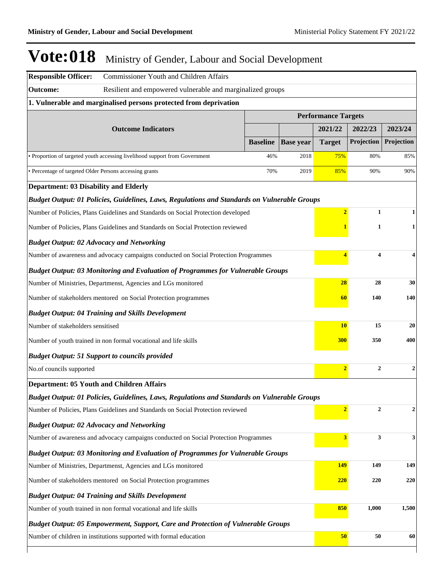| <b>Responsible Officer:</b><br><b>Commissioner Youth and Children Affairs</b>                |                 |                  |                            |                         |                  |
|----------------------------------------------------------------------------------------------|-----------------|------------------|----------------------------|-------------------------|------------------|
| <b>Outcome:</b><br>Resilient and empowered vulnerable and marginalized groups                |                 |                  |                            |                         |                  |
| 1. Vulnerable and marginalised persons protected from deprivation                            |                 |                  |                            |                         |                  |
|                                                                                              |                 |                  | <b>Performance Targets</b> |                         |                  |
| <b>Outcome Indicators</b>                                                                    |                 |                  | 2021/22                    | 2022/23                 | 2023/24          |
|                                                                                              | <b>Baseline</b> | <b>Base year</b> | <b>Target</b>              | Projection              | Projection       |
| • Proportion of targeted youth accessing livelihood support from Government                  | 46%             | 2018             | 75%                        | 80%                     | 85%              |
| · Percentage of targeted Older Persons accessing grants                                      | 70%             | 2019             | 85%                        | 90%                     | 90%              |
| <b>Department: 03 Disability and Elderly</b>                                                 |                 |                  |                            |                         |                  |
| Budget Output: 01 Policies, Guidelines, Laws, Regulations and Standards on Vulnerable Groups |                 |                  |                            |                         |                  |
| Number of Policies, Plans Guidelines and Standards on Social Protection developed            |                 |                  | $\overline{2}$             | $\mathbf{1}$            | 1                |
| Number of Policies, Plans Guidelines and Standards on Social Protection reviewed             |                 |                  | 1                          | 1                       |                  |
| <b>Budget Output: 02 Advocacy and Networking</b>                                             |                 |                  |                            |                         |                  |
| Number of awareness and advocacy campaigns conducted on Social Protection Programmes         |                 |                  | 4                          | $\overline{\mathbf{4}}$ | 4                |
| <b>Budget Output: 03 Monitoring and Evaluation of Programmes for Vulnerable Groups</b>       |                 |                  |                            |                         |                  |
| Number of Ministries, Departmenst, Agencies and LGs monitored                                |                 |                  | 28                         | 28                      | 30               |
| Number of stakeholders mentored on Social Protection programmes                              |                 |                  | 60                         | 140                     | 140              |
| <b>Budget Output: 04 Training and Skills Development</b>                                     |                 |                  |                            |                         |                  |
| Number of stakeholders sensitised                                                            |                 |                  | <b>10</b>                  | 15                      | 20               |
| Number of youth trained in non formal vocational and life skills                             |                 |                  | <b>300</b>                 | 350                     | 400              |
| <b>Budget Output: 51 Support to councils provided</b>                                        |                 |                  |                            |                         |                  |
| No.of councils supported                                                                     |                 |                  | $\overline{2}$             | $\mathbf{2}$            | $\boldsymbol{2}$ |
| <b>Department: 05 Youth and Children Affairs</b>                                             |                 |                  |                            |                         |                  |
| Budget Output: 01 Policies, Guidelines, Laws, Regulations and Standards on Vulnerable Groups |                 |                  |                            |                         |                  |
| Number of Policies, Plans Guidelines and Standards on Social Protection reviewed             |                 |                  | $\overline{2}$             | $\mathbf{2}$            | $\boldsymbol{2}$ |
| <b>Budget Output: 02 Advocacy and Networking</b>                                             |                 |                  |                            |                         |                  |
| Number of awareness and advocacy campaigns conducted on Social Protection Programmes         |                 |                  | $\overline{\mathbf{3}}$    | 3                       | 3                |
| <b>Budget Output: 03 Monitoring and Evaluation of Programmes for Vulnerable Groups</b>       |                 |                  |                            |                         |                  |
| Number of Ministries, Departmenst, Agencies and LGs monitored                                |                 |                  | 149                        | 149                     | 149              |
| Number of stakeholders mentored on Social Protection programmes                              |                 |                  | 220                        | 220                     | 220              |
| <b>Budget Output: 04 Training and Skills Development</b>                                     |                 |                  |                            |                         |                  |
| Number of youth trained in non formal vocational and life skills                             |                 |                  | 850                        | 1,000                   | 1,500            |
| <b>Budget Output: 05 Empowerment, Support, Care and Protection of Vulnerable Groups</b>      |                 |                  |                            |                         |                  |
| Number of children in institutions supported with formal education                           |                 |                  | 50                         | 50                      | 60               |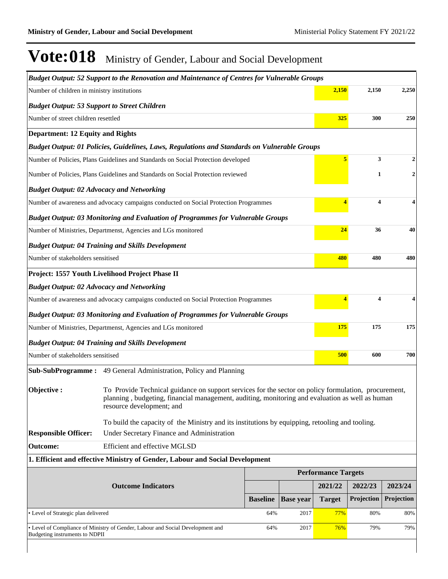|                                                     | Budget Output: 52 Support to the Renovation and Maintenance of Centres for Vulnerable Groups                                                                                                                                         |                 |                  |                            |            |                |
|-----------------------------------------------------|--------------------------------------------------------------------------------------------------------------------------------------------------------------------------------------------------------------------------------------|-----------------|------------------|----------------------------|------------|----------------|
| Number of children in ministry institutions         |                                                                                                                                                                                                                                      |                 |                  | 2,150                      | 2,150      | 2,250          |
| <b>Budget Output: 53 Support to Street Children</b> |                                                                                                                                                                                                                                      |                 |                  |                            |            |                |
| Number of street children resettled                 |                                                                                                                                                                                                                                      |                 |                  | 325                        | 300        | 250            |
| <b>Department: 12 Equity and Rights</b>             |                                                                                                                                                                                                                                      |                 |                  |                            |            |                |
|                                                     | Budget Output: 01 Policies, Guidelines, Laws, Regulations and Standards on Vulnerable Groups                                                                                                                                         |                 |                  |                            |            |                |
|                                                     | Number of Policies, Plans Guidelines and Standards on Social Protection developed                                                                                                                                                    |                 |                  |                            | 3          | $\mathbf{2}$   |
|                                                     | Number of Policies, Plans Guidelines and Standards on Social Protection reviewed                                                                                                                                                     |                 |                  |                            | 1          | $\overline{2}$ |
| <b>Budget Output: 02 Advocacy and Networking</b>    |                                                                                                                                                                                                                                      |                 |                  |                            |            |                |
|                                                     | Number of awareness and advocacy campaigns conducted on Social Protection Programmes                                                                                                                                                 |                 |                  |                            | 4          |                |
|                                                     | <b>Budget Output: 03 Monitoring and Evaluation of Programmes for Vulnerable Groups</b>                                                                                                                                               |                 |                  |                            |            |                |
|                                                     | Number of Ministries, Departmenst, Agencies and LGs monitored                                                                                                                                                                        |                 |                  | 24                         | 36         | 40             |
|                                                     | <b>Budget Output: 04 Training and Skills Development</b>                                                                                                                                                                             |                 |                  |                            |            |                |
| Number of stakeholders sensitised                   |                                                                                                                                                                                                                                      |                 |                  | 480                        | 480        | 480            |
|                                                     | Project: 1557 Youth Livelihood Project Phase II                                                                                                                                                                                      |                 |                  |                            |            |                |
| <b>Budget Output: 02 Advocacy and Networking</b>    |                                                                                                                                                                                                                                      |                 |                  |                            |            |                |
|                                                     | Number of awareness and advocacy campaigns conducted on Social Protection Programmes                                                                                                                                                 |                 |                  |                            | 4          |                |
|                                                     | <b>Budget Output: 03 Monitoring and Evaluation of Programmes for Vulnerable Groups</b>                                                                                                                                               |                 |                  |                            |            |                |
|                                                     | Number of Ministries, Departmenst, Agencies and LGs monitored                                                                                                                                                                        |                 |                  | 175                        | 175        | 175            |
|                                                     | <b>Budget Output: 04 Training and Skills Development</b>                                                                                                                                                                             |                 |                  |                            |            |                |
| Number of stakeholders sensitised                   |                                                                                                                                                                                                                                      |                 |                  | 500                        | 600        | 700            |
| <b>Sub-SubProgramme:</b>                            | 49 General Administration, Policy and Planning                                                                                                                                                                                       |                 |                  |                            |            |                |
| Objective:                                          | To Provide Technical guidance on support services for the sector on policy formulation, procurement,<br>planning, budgeting, financial management, auditing, monitoring and evaluation as well as human<br>resource development; and |                 |                  |                            |            |                |
|                                                     | To build the capacity of the Ministry and its institutions by equipping, retooling and tooling.                                                                                                                                      |                 |                  |                            |            |                |
| <b>Responsible Officer:</b>                         | Under Secretary Finance and Administration                                                                                                                                                                                           |                 |                  |                            |            |                |
| <b>Outcome:</b>                                     | Efficient and effective MGLSD                                                                                                                                                                                                        |                 |                  |                            |            |                |
|                                                     | 1. Efficient and effective Ministry of Gender, Labour and Social Development                                                                                                                                                         |                 |                  |                            |            |                |
|                                                     |                                                                                                                                                                                                                                      |                 |                  | <b>Performance Targets</b> |            |                |
|                                                     | <b>Outcome Indicators</b>                                                                                                                                                                                                            |                 |                  | 2021/22                    | 2022/23    | 2023/24        |
|                                                     |                                                                                                                                                                                                                                      | <b>Baseline</b> | <b>Base year</b> | <b>Target</b>              | Projection | Projection     |
| • Level of Strategic plan delivered                 |                                                                                                                                                                                                                                      | 64%             | 2017             | 77%                        | 80%        | 80%            |
| Budgeting instruments to NDPII                      | • Level of Compliance of Ministry of Gender, Labour and Social Development and                                                                                                                                                       | 64%             | 2017             | 76%                        | 79%        | 79%            |
|                                                     |                                                                                                                                                                                                                                      |                 |                  |                            |            |                |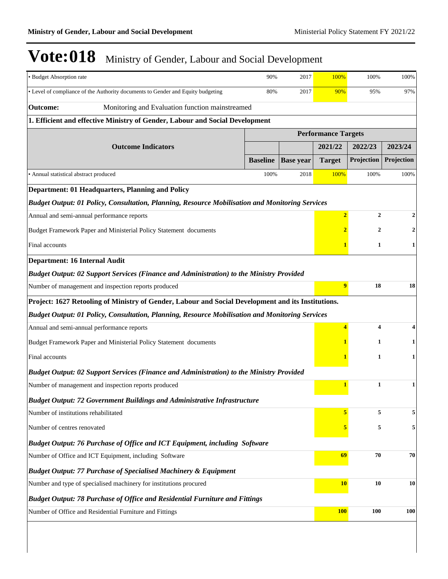| · Budget Absorption rate                                                                           | 90%             | 2017             | 100%                       | 100%                    | 100%         |  |  |
|----------------------------------------------------------------------------------------------------|-----------------|------------------|----------------------------|-------------------------|--------------|--|--|
| • Level of compliance of the Authority documents to Gender and Equity budgeting                    | 80%             | 2017             | 90%                        | 95%                     | 97%          |  |  |
| <b>Outcome:</b><br>Monitoring and Evaluation function mainstreamed                                 |                 |                  |                            |                         |              |  |  |
| 1. Efficient and effective Ministry of Gender, Labour and Social Development                       |                 |                  |                            |                         |              |  |  |
|                                                                                                    |                 |                  | <b>Performance Targets</b> |                         |              |  |  |
| <b>Outcome Indicators</b>                                                                          |                 |                  | 2021/22                    | 2022/23                 | 2023/24      |  |  |
|                                                                                                    | <b>Baseline</b> | <b>Base year</b> | <b>Target</b>              | Projection              | Projection   |  |  |
| • Annual statistical abstract produced                                                             | 100%            | 2018             | 100%                       | 100%                    | 100%         |  |  |
| <b>Department: 01 Headquarters, Planning and Policy</b>                                            |                 |                  |                            |                         |              |  |  |
| Budget Output: 01 Policy, Consultation, Planning, Resource Mobilisation and Monitoring Services    |                 |                  |                            |                         |              |  |  |
| Annual and semi-annual performance reports                                                         |                 |                  | $\overline{2}$             | $\mathbf{2}$            | 2            |  |  |
| Budget Framework Paper and Ministerial Policy Statement documents                                  |                 |                  | $\overline{2}$             | $\overline{2}$          | $\mathbf 2$  |  |  |
| Final accounts                                                                                     |                 |                  |                            | $\mathbf{1}$            | 1            |  |  |
| <b>Department: 16 Internal Audit</b>                                                               |                 |                  |                            |                         |              |  |  |
| Budget Output: 02 Support Services (Finance and Administration) to the Ministry Provided           |                 |                  |                            |                         |              |  |  |
| Number of management and inspection reports produced                                               |                 |                  | $\overline{9}$             | 18                      | 18           |  |  |
| Project: 1627 Retooling of Ministry of Gender, Labour and Social Development and its Institutions. |                 |                  |                            |                         |              |  |  |
| Budget Output: 01 Policy, Consultation, Planning, Resource Mobilisation and Monitoring Services    |                 |                  |                            |                         |              |  |  |
| Annual and semi-annual performance reports                                                         |                 |                  | $\overline{\mathbf{4}}$    | $\overline{\mathbf{4}}$ | 4            |  |  |
| Budget Framework Paper and Ministerial Policy Statement documents                                  |                 | 1                | 1                          |                         |              |  |  |
| Final accounts                                                                                     |                 | 1                | 1                          |                         |              |  |  |
| <b>Budget Output: 02 Support Services (Finance and Administration) to the Ministry Provided</b>    |                 |                  |                            |                         |              |  |  |
| Number of management and inspection reports produced                                               |                 |                  | $\mathbf{1}$               | $\mathbf{1}$            | $\mathbf{1}$ |  |  |
| <b>Budget Output: 72 Government Buildings and Administrative Infrastructure</b>                    |                 |                  |                            |                         |              |  |  |
| Number of institutions rehabilitated                                                               |                 |                  |                            | 5                       | 5            |  |  |
| Number of centres renovated                                                                        |                 | 5                | 5                          | 5                       |              |  |  |
| Budget Output: 76 Purchase of Office and ICT Equipment, including Software                         |                 |                  |                            |                         |              |  |  |
| Number of Office and ICT Equipment, including Software                                             | 69              | ${\bf 70}$       | 70                         |                         |              |  |  |
| <b>Budget Output: 77 Purchase of Specialised Machinery &amp; Equipment</b>                         |                 |                  |                            |                         |              |  |  |
| Number and type of specialised machinery for institutions procured                                 | <b>10</b>       | 10               | 10                         |                         |              |  |  |
| <b>Budget Output: 78 Purchase of Office and Residential Furniture and Fittings</b>                 |                 |                  |                            |                         |              |  |  |
| Number of Office and Residential Furniture and Fittings                                            |                 |                  | <b>100</b>                 | 100                     | <b>100</b>   |  |  |
|                                                                                                    |                 |                  |                            |                         |              |  |  |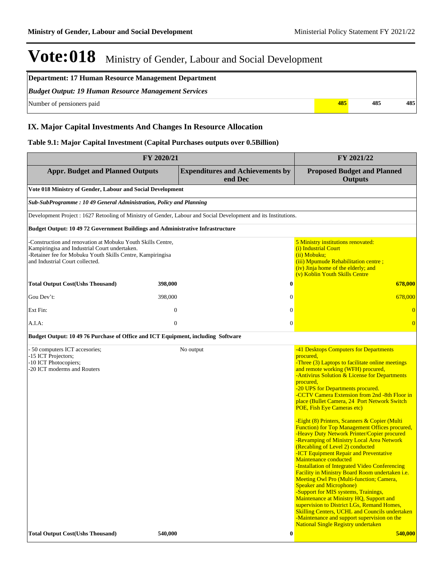| Department: 17 Human Resource Management Department         |     |     |     |  |  |
|-------------------------------------------------------------|-----|-----|-----|--|--|
| <b>Budget Output: 19 Human Resource Management Services</b> |     |     |     |  |  |
| Number of pensioners paid                                   | 485 | 485 | 485 |  |  |

### **IX. Major Capital Investments And Changes In Resource Allocation**

#### **Table 9.1: Major Capital Investment (Capital Purchases outputs over 0.5Billion)**

| FY 2020/21                                                                                                                                                                                                   |                  |                                                                                                                 | FY 2021/22                                                                                                                                                                                                                                                                                                                                                                                                                                                                                                                                                                                                                                                                                                                                                                                                                                                                                                                                                                                                                                                                                                                                                             |  |  |
|--------------------------------------------------------------------------------------------------------------------------------------------------------------------------------------------------------------|------------------|-----------------------------------------------------------------------------------------------------------------|------------------------------------------------------------------------------------------------------------------------------------------------------------------------------------------------------------------------------------------------------------------------------------------------------------------------------------------------------------------------------------------------------------------------------------------------------------------------------------------------------------------------------------------------------------------------------------------------------------------------------------------------------------------------------------------------------------------------------------------------------------------------------------------------------------------------------------------------------------------------------------------------------------------------------------------------------------------------------------------------------------------------------------------------------------------------------------------------------------------------------------------------------------------------|--|--|
| <b>Appr. Budget and Planned Outputs</b><br><b>Expenditures and Achievements by</b><br>end Dec                                                                                                                |                  |                                                                                                                 | <b>Proposed Budget and Planned</b><br><b>Outputs</b>                                                                                                                                                                                                                                                                                                                                                                                                                                                                                                                                                                                                                                                                                                                                                                                                                                                                                                                                                                                                                                                                                                                   |  |  |
| Vote 018 Ministry of Gender, Labour and Social Development                                                                                                                                                   |                  |                                                                                                                 |                                                                                                                                                                                                                                                                                                                                                                                                                                                                                                                                                                                                                                                                                                                                                                                                                                                                                                                                                                                                                                                                                                                                                                        |  |  |
| Sub-SubProgramme: 10 49 General Administration, Policy and Planning                                                                                                                                          |                  |                                                                                                                 |                                                                                                                                                                                                                                                                                                                                                                                                                                                                                                                                                                                                                                                                                                                                                                                                                                                                                                                                                                                                                                                                                                                                                                        |  |  |
|                                                                                                                                                                                                              |                  | Development Project : 1627 Retooling of Ministry of Gender, Labour and Social Development and its Institutions. |                                                                                                                                                                                                                                                                                                                                                                                                                                                                                                                                                                                                                                                                                                                                                                                                                                                                                                                                                                                                                                                                                                                                                                        |  |  |
| Budget Output: 10 49 72 Government Buildings and Administrative Infrastructure                                                                                                                               |                  |                                                                                                                 |                                                                                                                                                                                                                                                                                                                                                                                                                                                                                                                                                                                                                                                                                                                                                                                                                                                                                                                                                                                                                                                                                                                                                                        |  |  |
| Construction and renovation at Mobuku Youth Skills Centre,<br>Kampiringisa and Industrial Court undertaken.<br>-Retainer fee for Mobuku Youth Skills Centre, Kampiringisa<br>and Industrial Court collected. |                  |                                                                                                                 | 5 Ministry institutions renovated:<br>(i) Industrial Court<br>(ii) Mobuku;<br>(iii) Mpumude Rehabilitation centre;<br>(iv) Jinja home of the elderly; and<br>(v) Koblin Youth Skills Centre                                                                                                                                                                                                                                                                                                                                                                                                                                                                                                                                                                                                                                                                                                                                                                                                                                                                                                                                                                            |  |  |
| <b>Total Output Cost(Ushs Thousand)</b>                                                                                                                                                                      | 398,000          | $\bf{0}$                                                                                                        | 678,000                                                                                                                                                                                                                                                                                                                                                                                                                                                                                                                                                                                                                                                                                                                                                                                                                                                                                                                                                                                                                                                                                                                                                                |  |  |
| Gou Dev't:                                                                                                                                                                                                   | 398,000          | $\mathbf{0}$                                                                                                    | 678,000                                                                                                                                                                                                                                                                                                                                                                                                                                                                                                                                                                                                                                                                                                                                                                                                                                                                                                                                                                                                                                                                                                                                                                |  |  |
| Ext Fin:                                                                                                                                                                                                     | $\boldsymbol{0}$ | $\mathbf{0}$                                                                                                    | $\overline{0}$                                                                                                                                                                                                                                                                                                                                                                                                                                                                                                                                                                                                                                                                                                                                                                                                                                                                                                                                                                                                                                                                                                                                                         |  |  |
| A.I.A:                                                                                                                                                                                                       | $\mathbf{0}$     | $\boldsymbol{0}$                                                                                                | $\overline{0}$                                                                                                                                                                                                                                                                                                                                                                                                                                                                                                                                                                                                                                                                                                                                                                                                                                                                                                                                                                                                                                                                                                                                                         |  |  |
| Budget Output: 10 49 76 Purchase of Office and ICT Equipment, including Software                                                                                                                             |                  |                                                                                                                 |                                                                                                                                                                                                                                                                                                                                                                                                                                                                                                                                                                                                                                                                                                                                                                                                                                                                                                                                                                                                                                                                                                                                                                        |  |  |
| - 50 computers ICT accesories;<br>-15 ICT Projectors;<br>-10 ICT Photocopiers;<br>-20 ICT moderms and Routers                                                                                                |                  | No output                                                                                                       | -41 Desktops Computers for Departments<br>procured,<br>-Three (3) Laptops to facilitate online meetings<br>and remote working (WFH) procured,<br>-Antivirus Solution & License for Departments<br>procured,<br>-20 UPS for Departments procured.<br>-CCTV Camera Extension from 2nd -8th Floor in<br>place (Bullet Camera, 24 Port Network Switch<br>POE, Fish Eye Cameras etc)<br>-Eight (8) Printers, Scanners & Copier (Multi<br>Function) for Top Management Offices procured,<br>-Heavy Duty Network Printer/Copier procured<br>-Revamping of Ministry Local Area Network<br>(Recabling of Level 2) conducted<br>-ICT Equipment Repair and Preventative<br>Maintenance conducted<br>-Installation of Integrated Video Conferencing<br><b>Facility in Ministry Board Room undertaken i.e.</b><br>Meeting Owl Pro (Multi-function; Camera,<br><b>Speaker and Microphone)</b><br>-Support for MIS systems, Trainings,<br>Maintenance at Ministry HQ, Support and<br>supervision to District LGs, Remand Homes,<br><b>Skilling Centers, UCHL and Councils undertaken</b><br>-Maintenance and support supervision on the<br><b>National Single Registry undertaken</b> |  |  |
| <b>Total Output Cost(Ushs Thousand)</b>                                                                                                                                                                      | 540,000          | $\bf{0}$                                                                                                        | 540,000                                                                                                                                                                                                                                                                                                                                                                                                                                                                                                                                                                                                                                                                                                                                                                                                                                                                                                                                                                                                                                                                                                                                                                |  |  |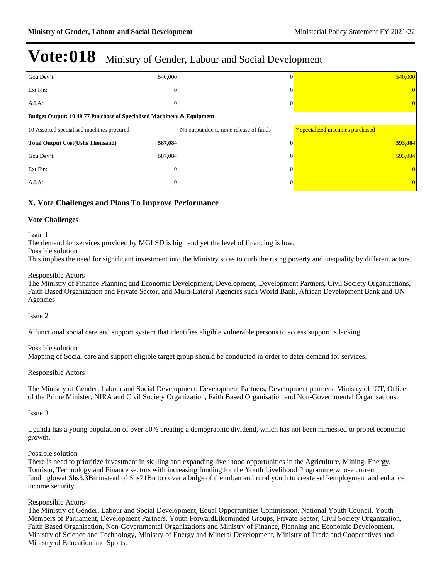| Gou Dev't:                                                            | 540,000                                | $\Omega$     | 540,000                          |  |  |
|-----------------------------------------------------------------------|----------------------------------------|--------------|----------------------------------|--|--|
| Ext Fin:                                                              | $\mathbf{0}$                           | $\theta$     |                                  |  |  |
| $A.I.A$ :                                                             | $\mathbf{0}$                           | 0            | 0                                |  |  |
| Budget Output: 10 49 77 Purchase of Specialised Machinery & Equipment |                                        |              |                                  |  |  |
| 10 Assorted specialised machines procured                             | No output due to none release of funds |              | 7 specialized machines purchased |  |  |
| <b>Total Output Cost(Ushs Thousand)</b>                               | 587,084                                | $\mathbf{0}$ | 593,084                          |  |  |
| Gou Dev't:                                                            | 587,084                                | $\Omega$     | 593,084                          |  |  |
| Ext Fin:                                                              | $\boldsymbol{0}$                       | $\Omega$     | $\overline{0}$                   |  |  |
| $A.I.A$ :                                                             | $\mathbf{0}$                           | $\Omega$     | $\overline{0}$                   |  |  |

### **X. Vote Challenges and Plans To Improve Performance**

#### **Vote Challenges**

#### Issue 1

The demand for services provided by MGLSD is high and yet the level of financing is low.

Possible solution

This implies the need for significant investment into the Ministry so as to curb the rising poverty and inequality by different actors.

#### Responsible Actors

The Ministry of Finance Planning and Economic Development, Development, Development Partners, Civil Society Organizations, Faith Based Organization and Private Sector, and Multi-Lateral Agencies such World Bank, African Development Bank and UN Agencies

Issue 2

A functional social care and support system that identifies eligible vulnerable persons to access support is lacking.

#### Possible solution

Mapping of Social care and support eligible target group should be conducted in order to deter demand for services.

#### Responsible Actors

The Ministry of Gender, Labour and Social Development, Development Partners, Development partners, Ministry of ICT, Office of the Prime Minister, NIRA and Civil Society Organization, Faith Based Organisation and Non-Governmental Organisations.

Issue 3

Uganda has a young population of over 50% creating a demographic dividend, which has not been harnessed to propel economic growth.

#### Possible solution

There is need to prioritize investment in skilling and expanding livelihood opportunities in the Agriculture, Mining, Energy, Tourism, Technology and Finance sectors with increasing funding for the Youth Livelihood Programme whose current fundinglowat Shs3.3Bn instead of Shs71Bn to cover a bulge of the urban and rural youth to create self-employment and enhance income security.

#### Responsible Actors

The Ministry of Gender, Labour and Social Development, Equal Opportunities Commission, National Youth Council, Youth Members of Parliament, Development Partners, Youth ForwardLikeminded Groups, Private Sector, Civil Society Organization, Faith Based Organisation, Non-Governmental Organizations and Ministry of Finance, Planning and Economic Development. Ministry of Science and Technology, Ministry of Energy and Mineral Development, Ministry of Trade and Cooperatives and Ministry of Education and Sports.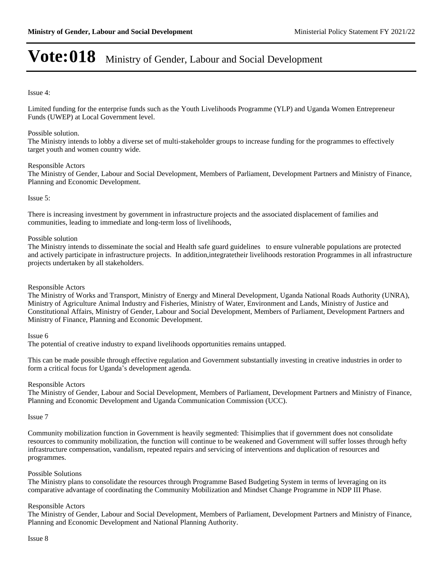#### Issue 4:

Limited funding for the enterprise funds such as the Youth Livelihoods Programme (YLP) and Uganda Women Entrepreneur Funds (UWEP) at Local Government level.

#### Possible solution.

The Ministry intends to lobby a diverse set of multi-stakeholder groups to increase funding for the programmes to effectively target youth and women country wide.

#### Responsible Actors

The Ministry of Gender, Labour and Social Development, Members of Parliament, Development Partners and Ministry of Finance, Planning and Economic Development.

#### Issue 5:

There is increasing investment by government in infrastructure projects and the associated displacement of families and communities, leading to immediate and long-term loss of livelihoods,

#### Possible solution

The Ministry intends to disseminate the social and Health safe guard guidelines to ensure vulnerable populations are protected and actively participate in infrastructure projects. In addition,integratetheir livelihoods restoration Programmes in all infrastructure projects undertaken by all stakeholders.

#### Responsible Actors

The Ministry of Works and Transport, Ministry of Energy and Mineral Development, Uganda National Roads Authority (UNRA), Ministry of Agriculture Animal Industry and Fisheries, Ministry of Water, Environment and Lands, Ministry of Justice and Constitutional Affairs, Ministry of Gender, Labour and Social Development, Members of Parliament, Development Partners and Ministry of Finance, Planning and Economic Development.

#### Issue 6

The potential of creative industry to expand livelihoods opportunities remains untapped.

This can be made possible through effective regulation and Government substantially investing in creative industries in order to form a critical focus for Uganda's development agenda.

#### Responsible Actors

The Ministry of Gender, Labour and Social Development, Members of Parliament, Development Partners and Ministry of Finance, Planning and Economic Development and Uganda Communication Commission (UCC).

#### Issue 7

Community mobilization function in Government is heavily segmented: Thisimplies that if government does not consolidate resources to community mobilization, the function will continue to be weakened and Government will suffer losses through hefty infrastructure compensation, vandalism, repeated repairs and servicing of interventions and duplication of resources and programmes.

#### Possible Solutions

The Ministry plans to consolidate the resources through Programme Based Budgeting System in terms of leveraging on its comparative advantage of coordinating the Community Mobilization and Mindset Change Programme in NDP III Phase.

#### Responsible Actors

The Ministry of Gender, Labour and Social Development, Members of Parliament, Development Partners and Ministry of Finance, Planning and Economic Development and National Planning Authority.

Issue 8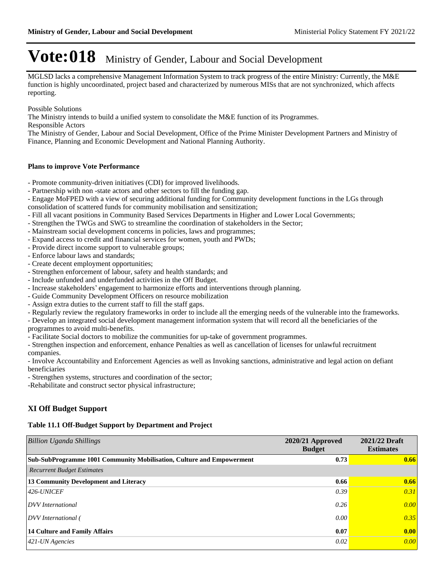MGLSD lacks a comprehensive Management Information System to track progress of the entire Ministry: Currently, the M&E function is highly uncoordinated, project based and characterized by numerous MISs that are not synchronized, which affects reporting.

Possible Solutions

The Ministry intends to build a unified system to consolidate the M&E function of its Programmes.

Responsible Actors

The Ministry of Gender, Labour and Social Development, Office of the Prime Minister Development Partners and Ministry of Finance, Planning and Economic Development and National Planning Authority.

#### **Plans to improve Vote Performance**

- Promote community-driven initiatives (CDI) for improved livelihoods.
- Partnership with non -state actors and other sectors to fill the funding gap.
- Engage MoFPED with a view of securing additional funding for Community development functions in the LGs through consolidation of scattered funds for community mobilisation and sensitization;
- Fill all vacant positions in Community Based Services Departments in Higher and Lower Local Governments;
- Strengthen the TWGs and SWG to streamline the coordination of stakeholders in the Sector;
- Mainstream social development concerns in policies, laws and programmes;
- Expand access to credit and financial services for women, youth and PWDs;
- Provide direct income support to vulnerable groups;
- Enforce labour laws and standards;
- Create decent employment opportunities;
- Strengthen enforcement of labour, safety and health standards; and
- Include unfunded and underfunded activities in the Off Budget.
- Increase stakeholders' engagement to harmonize efforts and interventions through planning.
- Guide Community Development Officers on resource mobilization
- Assign extra duties to the current staff to fill the staff gaps.
- Regularly review the regulatory frameworks in order to include all the emerging needs of the vulnerable into the frameworks.
- Develop an integrated social development management information system that will record all the beneficiaries of the

programmes to avoid multi-benefits.

- Facilitate Social doctors to mobilize the communities for up-take of government programmes.

- Strengthen inspection and enforcement, enhance Penalties as well as cancellation of licenses for unlawful recruitment companies.

- Involve Accountability and Enforcement Agencies as well as Invoking sanctions, administrative and legal action on defiant beneficiaries

- Strengthen systems, structures and coordination of the sector;

-Rehabilitate and construct sector physical infrastructure;

### **XI Off Budget Support**

#### **Table 11.1 Off-Budget Support by Department and Project**

| <b>Billion Uganda Shillings</b>                                       | $2020/21$ Approved<br><b>Budget</b> | 2021/22 Draft<br><b>Estimates</b> |
|-----------------------------------------------------------------------|-------------------------------------|-----------------------------------|
| Sub-SubProgramme 1001 Community Mobilisation, Culture and Empowerment | 0.73                                | 0.66                              |
| <b>Recurrent Budget Estimates</b>                                     |                                     |                                   |
| 13 Community Development and Literacy                                 | 0.66                                | 0.66                              |
| $ 426$ -UNICEF                                                        | 0.39                                | 0.31                              |
| DVV International                                                     | 0.26                                | 0.00                              |
| DVV International (                                                   | 0.00                                | 0.35                              |
| <b>14 Culture and Family Affairs</b>                                  | 0.07                                | $\vert 0.00 \vert$                |
| $421$ -UN Agencies                                                    | 0.02                                | 0.00                              |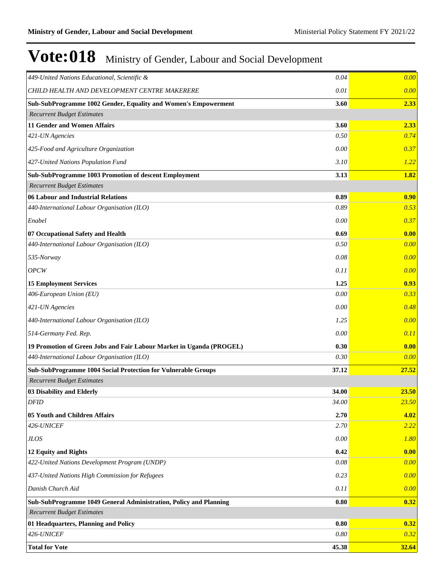| 0.04<br>449-United Nations Educational, Scientific &                         | 0.00           |
|------------------------------------------------------------------------------|----------------|
| CHILD HEALTH AND DEVELOPMENT CENTRE MAKERERE<br>0.01                         | 0.00           |
| Sub-SubProgramme 1002 Gender, Equality and Women's Empowerment<br>3.60       | 2.33           |
| <b>Recurrent Budget Estimates</b>                                            |                |
| 11 Gender and Women Affairs<br>3.60                                          | 2.33           |
| 421-UN Agencies<br>0.50                                                      | 0.74           |
| 425-Food and Agriculture Organization<br>0.00                                | 0.37           |
| 427-United Nations Population Fund<br>3.10                                   | 1.22           |
| Sub-SubProgramme 1003 Promotion of descent Employment<br>3.13                | 1.82           |
| <b>Recurrent Budget Estimates</b>                                            |                |
| 06 Labour and Industrial Relations<br>0.89                                   | 0.90           |
| 440-International Labour Organisation (ILO)<br>0.89                          | 0.53           |
| Enabel<br>0.00                                                               | 0.37           |
| 0.69<br>07 Occupational Safety and Health                                    | 0.00           |
| 440-International Labour Organisation (ILO)<br>0.50                          | 0.00           |
| 0.08<br>$535$ -Norway                                                        | 0.00           |
| OPCW<br>0.11                                                                 | 0.00           |
| <b>15 Employment Services</b><br>1.25                                        | 0.93           |
| 406-European Union (EU)<br>0.00                                              | 0.33           |
| 0.00<br>421-UN Agencies                                                      | 0.48           |
| 440-International Labour Organisation (ILO)<br>1.25                          | 0.00           |
| 514-Germany Fed. Rep.<br>0.00                                                | 0.11           |
| 0.30<br>19 Promotion of Green Jobs and Fair Labour Market in Uganda (PROGEL) | 0.00           |
| 440-International Labour Organisation (ILO)<br>0.30                          | 0.00           |
| Sub-SubProgramme 1004 Social Protection for Vulnerable Groups<br>37.12       | 27.52          |
| <b>Recurrent Budget Estimates</b>                                            |                |
| 03 Disability and Elderly<br>34.00                                           | 23.50          |
| 34.00<br><b>DFID</b>                                                         | 23.50          |
| 2.70<br>05 Youth and Children Affairs                                        | 4.02           |
| 426-UNICEF<br>2.70                                                           | <b>2.22</b>    |
| <b>JLOS</b><br>0.00                                                          | 1.80           |
| 0.42<br>12 Equity and Rights                                                 | 0.00           |
| 422-United Nations Development Program (UNDP)<br>0.08                        | 0.00           |
| 437-United Nations High Commission for Refugees<br>0.23                      | 0.00           |
| Danish Church Aid<br>0.11                                                    | 0.00           |
| Sub-SubProgramme 1049 General Administration, Policy and Planning<br>0.80    | 0.32           |
| <b>Recurrent Budget Estimates</b>                                            |                |
| 0.80<br>01 Headquarters, Planning and Policy                                 | $\boxed{0.32}$ |
| 426-UNICEF<br>0.80                                                           | 0.32           |
| 45.38<br><b>Total for Vote</b>                                               | 32.64          |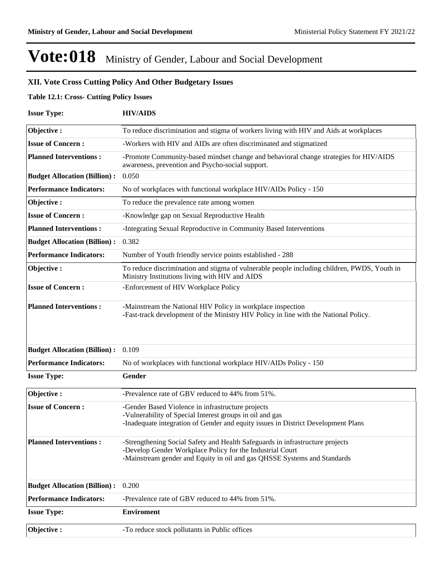### **XII. Vote Cross Cutting Policy And Other Budgetary Issues**

#### **Table 12.1: Cross- Cutting Policy Issues**

| <b>Issue Type:</b>                  | <b>HIV/AIDS</b>                                                                                                                                                                                                        |  |  |  |
|-------------------------------------|------------------------------------------------------------------------------------------------------------------------------------------------------------------------------------------------------------------------|--|--|--|
| Objective:                          | To reduce discrimination and stigma of workers living with HIV and Aids at workplaces                                                                                                                                  |  |  |  |
| <b>Issue of Concern:</b>            | -Workers with HIV and AIDs are often discriminated and stigmatized                                                                                                                                                     |  |  |  |
| <b>Planned Interventions:</b>       | -Promote Community-based mindset change and behavioral change strategies for HIV/AIDS<br>awareness, prevention and Psycho-social support.                                                                              |  |  |  |
| <b>Budget Allocation (Billion):</b> | 0.050                                                                                                                                                                                                                  |  |  |  |
| <b>Performance Indicators:</b>      | No of workplaces with functional workplace HIV/AIDs Policy - 150                                                                                                                                                       |  |  |  |
| Objective:                          | To reduce the prevalence rate among women                                                                                                                                                                              |  |  |  |
| <b>Issue of Concern:</b>            | -Knowledge gap on Sexual Reproductive Health                                                                                                                                                                           |  |  |  |
| <b>Planned Interventions:</b>       | -Integrating Sexual Reproductive in Community Based Interventions                                                                                                                                                      |  |  |  |
| <b>Budget Allocation (Billion):</b> | 0.382                                                                                                                                                                                                                  |  |  |  |
| <b>Performance Indicators:</b>      | Number of Youth friendly service points established - 288                                                                                                                                                              |  |  |  |
| Objective:                          | To reduce discrimination and stigma of vulnerable people including children, PWDS, Youth in<br>Ministry Institutions living with HIV and AIDS                                                                          |  |  |  |
| <b>Issue of Concern:</b>            | -Enforcement of HIV Workplace Policy                                                                                                                                                                                   |  |  |  |
| <b>Planned Interventions:</b>       | -Mainstream the National HIV Policy in workplace inspection<br>-Fast-track development of the Ministry HIV Policy in line with the National Policy.                                                                    |  |  |  |
| <b>Budget Allocation (Billion):</b> | 0.109                                                                                                                                                                                                                  |  |  |  |
| <b>Performance Indicators:</b>      | No of workplaces with functional workplace HIV/AIDs Policy - 150                                                                                                                                                       |  |  |  |
| <b>Issue Type:</b>                  | Gender                                                                                                                                                                                                                 |  |  |  |
| Objective:                          | -Prevalence rate of GBV reduced to 44% from 51%.                                                                                                                                                                       |  |  |  |
| <b>Issue of Concern:</b>            | -Gender Based Violence in infrastructure projects<br>-Vulnerability of Special Interest groups in oil and gas<br>-Inadequate integration of Gender and equity issues in District Development Plans                     |  |  |  |
| <b>Planned Interventions:</b>       | -Strengthening Social Safety and Health Safeguards in infrastructure projects<br>-Develop Gender Workplace Policy for the Industrial Court<br>-Mainstream gender and Equity in oil and gas QHSSE Systems and Standards |  |  |  |
| <b>Budget Allocation (Billion):</b> | 0.200                                                                                                                                                                                                                  |  |  |  |
| <b>Performance Indicators:</b>      | -Prevalence rate of GBV reduced to 44% from 51%.                                                                                                                                                                       |  |  |  |
| <b>Issue Type:</b>                  | <b>Enviroment</b>                                                                                                                                                                                                      |  |  |  |
| Objective:                          | -To reduce stock pollutants in Public offices                                                                                                                                                                          |  |  |  |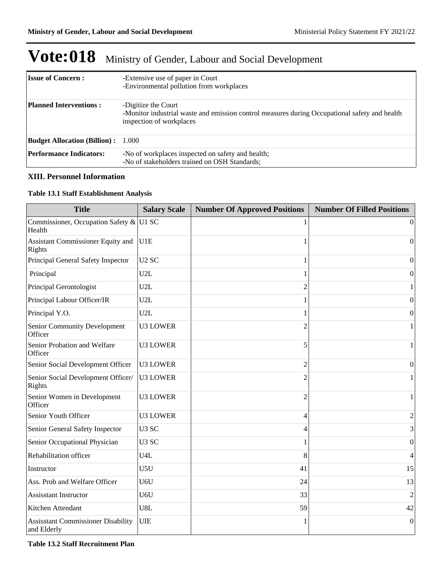| <b>Issue of Concern:</b>                  | -Extensive use of paper in Court<br>-Environmental pollution from workplaces                                                                     |
|-------------------------------------------|--------------------------------------------------------------------------------------------------------------------------------------------------|
| <b>Planned Interventions:</b>             | -Digitize the Court<br>-Monitor industrial waste and emission control measures during Occupational safety and health<br>inspection of workplaces |
| <b>Budget Allocation (Billion):</b> 1.000 |                                                                                                                                                  |
| <b>Performance Indicators:</b>            | -No of workplaces inspected on safety and health;<br>-No of stakeholders trained on OSH Standards;                                               |

### **XIII. Personnel Information**

### **Table 13.1 Staff Establishment Analysis**

| <b>Title</b>                                             | <b>Salary Scale</b> | <b>Number Of Approved Positions</b> | <b>Number Of Filled Positions</b> |
|----------------------------------------------------------|---------------------|-------------------------------------|-----------------------------------|
| Commissioner, Occupation Safety & U1 SC<br>Health        |                     |                                     | $\theta$                          |
| Assistant Commissioner Equity and<br>Rights              | U1E                 |                                     | $\Omega$                          |
| Principal General Safety Inspector                       | U <sub>2</sub> SC   | 1                                   | $\boldsymbol{0}$                  |
| Principal                                                | U2L                 |                                     | $\boldsymbol{0}$                  |
| Principal Gerontologist                                  | U2L                 | $\overline{2}$                      | 1                                 |
| Principal Labour Officer/IR                              | U2L                 |                                     | 0                                 |
| Principal Y.O.                                           | U2L                 |                                     | $\overline{0}$                    |
| <b>Senior Community Development</b><br>Officer           | <b>U3 LOWER</b>     | $\overline{c}$                      | 1                                 |
| Senior Probation and Welfare<br>Officer                  | <b>U3 LOWER</b>     | 5                                   | 1                                 |
| Senior Social Development Officer                        | <b>U3 LOWER</b>     | 2                                   | $\overline{0}$                    |
| Senior Social Development Officer/<br>Rights             | <b>U3 LOWER</b>     | $\overline{c}$                      |                                   |
| Senior Women in Development<br>Officer                   | <b>U3 LOWER</b>     | $\overline{2}$                      | 1                                 |
| Senior Youth Officer                                     | <b>U3 LOWER</b>     | 4                                   | $\overline{2}$                    |
| Senior General Safety Inspector                          | U <sub>3</sub> SC   | 4                                   | 3                                 |
| Senior Occupational Physician                            | U <sub>3</sub> SC   |                                     | 0                                 |
| Rehabilitation officer                                   | U4L                 | 8                                   | 4                                 |
| Instructor                                               | U5U                 | 41                                  | 15                                |
| Ass. Prob and Welfare Officer                            | U6U                 | 24                                  | 13                                |
| <b>Assisstant Instructor</b>                             | U6U                 | 33                                  | 2                                 |
| Kitchen Attendant                                        | U8L                 | 59                                  | 42                                |
| <b>Assisstant Commissioner Disability</b><br>and Elderly | <b>UIE</b>          |                                     | $\theta$                          |

**Table 13.2 Staff Recruitment Plan**